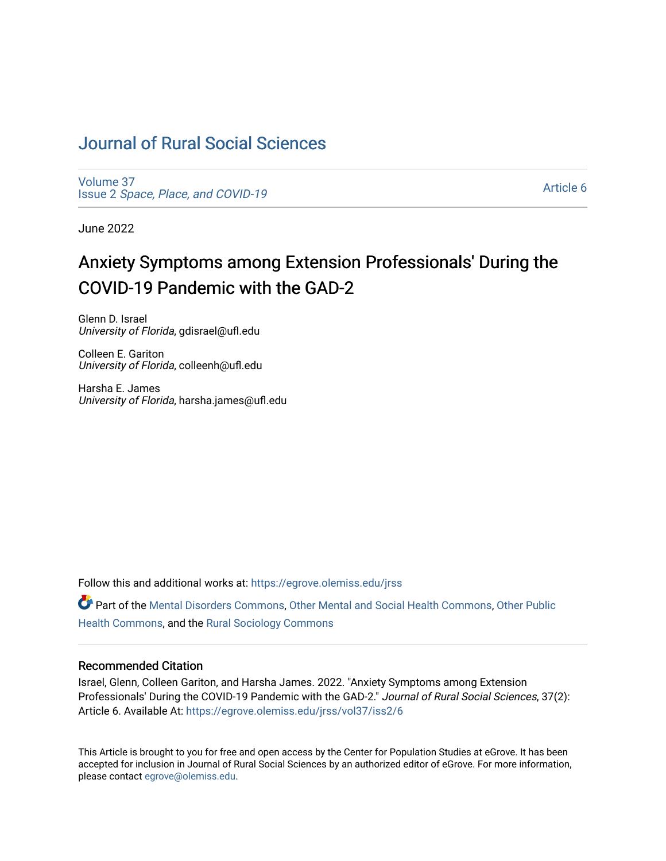# [Journal of Rural Social Sciences](https://egrove.olemiss.edu/jrss)

[Volume 37](https://egrove.olemiss.edu/jrss/vol37) Issue 2 [Space, Place, and COVID-19](https://egrove.olemiss.edu/jrss/vol37/iss2)

[Article 6](https://egrove.olemiss.edu/jrss/vol37/iss2/6) 

June 2022

# Anxiety Symptoms among Extension Professionals' During the COVID-19 Pandemic with the GAD-2

Glenn D. Israel University of Florida, gdisrael@ufl.edu

Colleen E. Gariton University of Florida, colleenh@ufl.edu

Harsha E. James University of Florida, harsha.james@ufl.edu

Follow this and additional works at: [https://egrove.olemiss.edu/jrss](https://egrove.olemiss.edu/jrss?utm_source=egrove.olemiss.edu%2Fjrss%2Fvol37%2Fiss2%2F6&utm_medium=PDF&utm_campaign=PDFCoverPages) 

Part of the [Mental Disorders Commons,](https://network.bepress.com/hgg/discipline/968?utm_source=egrove.olemiss.edu%2Fjrss%2Fvol37%2Fiss2%2F6&utm_medium=PDF&utm_campaign=PDFCoverPages) [Other Mental and Social Health Commons](https://network.bepress.com/hgg/discipline/717?utm_source=egrove.olemiss.edu%2Fjrss%2Fvol37%2Fiss2%2F6&utm_medium=PDF&utm_campaign=PDFCoverPages), [Other Public](https://network.bepress.com/hgg/discipline/748?utm_source=egrove.olemiss.edu%2Fjrss%2Fvol37%2Fiss2%2F6&utm_medium=PDF&utm_campaign=PDFCoverPages) [Health Commons,](https://network.bepress.com/hgg/discipline/748?utm_source=egrove.olemiss.edu%2Fjrss%2Fvol37%2Fiss2%2F6&utm_medium=PDF&utm_campaign=PDFCoverPages) and the [Rural Sociology Commons](https://network.bepress.com/hgg/discipline/428?utm_source=egrove.olemiss.edu%2Fjrss%2Fvol37%2Fiss2%2F6&utm_medium=PDF&utm_campaign=PDFCoverPages) 

#### Recommended Citation

Israel, Glenn, Colleen Gariton, and Harsha James. 2022. "Anxiety Symptoms among Extension Professionals' During the COVID-19 Pandemic with the GAD-2." Journal of Rural Social Sciences, 37(2): Article 6. Available At: [https://egrove.olemiss.edu/jrss/vol37/iss2/6](https://egrove.olemiss.edu/jrss/vol37/iss2/6?utm_source=egrove.olemiss.edu%2Fjrss%2Fvol37%2Fiss2%2F6&utm_medium=PDF&utm_campaign=PDFCoverPages) 

This Article is brought to you for free and open access by the Center for Population Studies at eGrove. It has been accepted for inclusion in Journal of Rural Social Sciences by an authorized editor of eGrove. For more information, please contact [egrove@olemiss.edu.](mailto:egrove@olemiss.edu)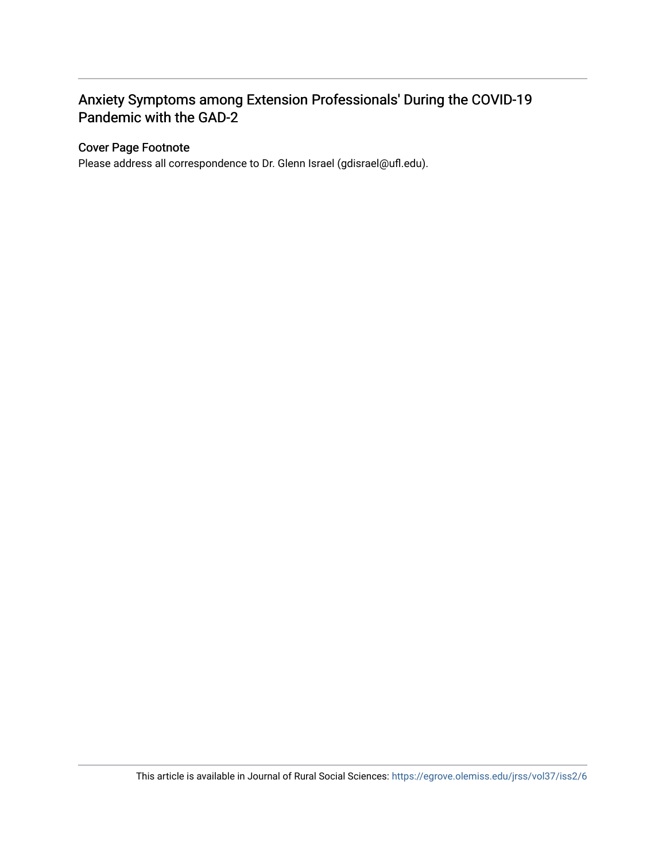## Anxiety Symptoms among Extension Professionals' During the COVID-19 Pandemic with the GAD-2

#### Cover Page Footnote

Please address all correspondence to Dr. Glenn Israel (gdisrael@ufl.edu).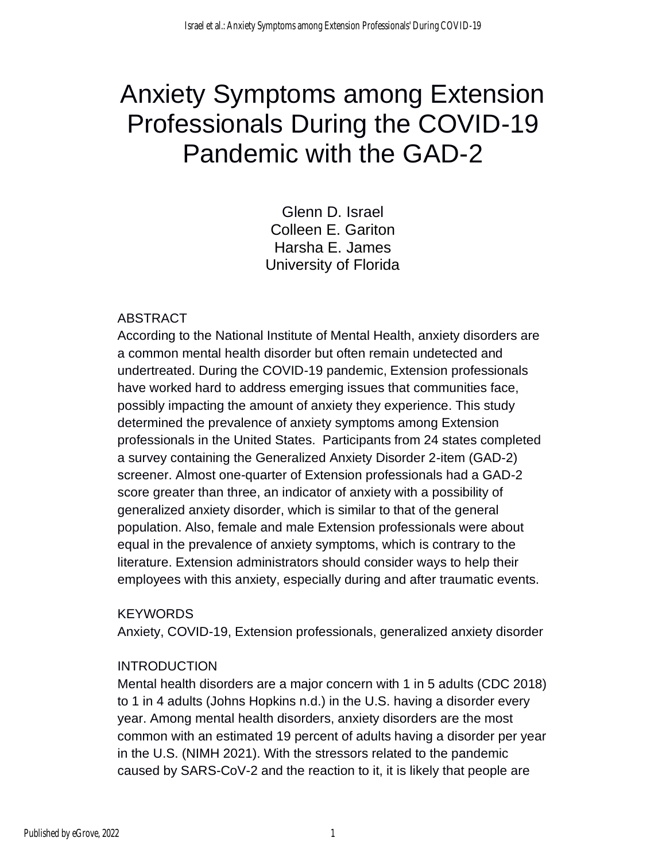# Anxiety Symptoms among Extension Professionals During the COVID-19 Pandemic with the GAD-2

Glenn D. Israel Colleen E. Gariton Harsha E. James University of Florida

### ABSTRACT

According to the National Institute of Mental Health, anxiety disorders are a common mental health disorder but often remain undetected and undertreated. During the COVID-19 pandemic, Extension professionals have worked hard to address emerging issues that communities face, possibly impacting the amount of anxiety they experience. This study determined the prevalence of anxiety symptoms among Extension professionals in the United States. Participants from 24 states completed a survey containing the Generalized Anxiety Disorder 2-item (GAD-2) screener. Almost one-quarter of Extension professionals had a GAD-2 score greater than three, an indicator of anxiety with a possibility of generalized anxiety disorder, which is similar to that of the general population. Also, female and male Extension professionals were about equal in the prevalence of anxiety symptoms, which is contrary to the literature. Extension administrators should consider ways to help their employees with this anxiety, especially during and after traumatic events.

#### **KEYWORDS**

Anxiety, COVID-19, Extension professionals, generalized anxiety disorder

#### **INTRODUCTION**

Mental health disorders are a major concern with 1 in 5 adults (CDC 2018) to 1 in 4 adults (Johns Hopkins n.d.) in the U.S. having a disorder every year. Among mental health disorders, anxiety disorders are the most common with an estimated 19 percent of adults having a disorder per year in the U.S. (NIMH 2021). With the stressors related to the pandemic caused by SARS-CoV-2 and the reaction to it, it is likely that people are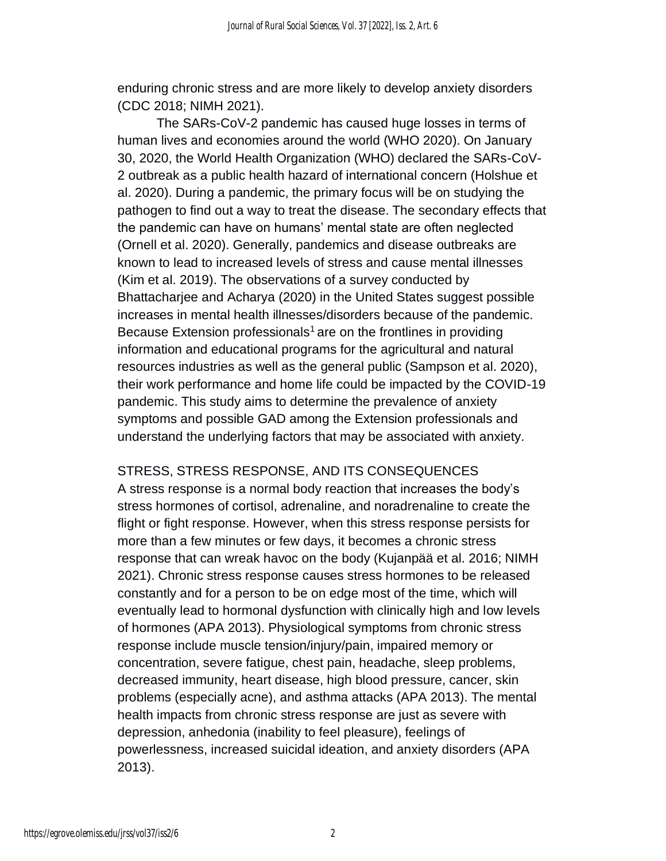enduring chronic stress and are more likely to develop anxiety disorders (CDC 2018; NIMH 2021).

The SARs-CoV-2 pandemic has caused huge losses in terms of human lives and economies around the world (WHO 2020). On January 30, 2020, the World Health Organization (WHO) declared the SARs-CoV-2 outbreak as a public health hazard of international concern (Holshue et al. 2020). During a pandemic, the primary focus will be on studying the pathogen to find out a way to treat the disease. The secondary effects that the pandemic can have on humans' mental state are often neglected (Ornell et al. 2020). Generally, pandemics and disease outbreaks are known to lead to increased levels of stress and cause mental illnesses (Kim et al. 2019). The observations of a survey conducted by Bhattacharjee and Acharya (2020) in the United States suggest possible increases in mental health illnesses/disorders because of the pandemic. Because Extension professionals<sup>1</sup> are on the frontlines in providing information and educational programs for the agricultural and natural resources industries as well as the general public (Sampson et al. 2020), their work performance and home life could be impacted by the COVID-19 pandemic. This study aims to determine the prevalence of anxiety symptoms and possible GAD among the Extension professionals and understand the underlying factors that may be associated with anxiety.

#### STRESS, STRESS RESPONSE, AND ITS CONSEQUENCES

A stress response is a normal body reaction that increases the body's stress hormones of cortisol, adrenaline, and noradrenaline to create the flight or fight response. However, when this stress response persists for more than a few minutes or few days, it becomes a chronic stress response that can wreak havoc on the body (Kujanpää et al. 2016; NIMH 2021). Chronic stress response causes stress hormones to be released constantly and for a person to be on edge most of the time, which will eventually lead to hormonal dysfunction with clinically high and low levels of hormones (APA 2013). Physiological symptoms from chronic stress response include muscle tension/injury/pain, impaired memory or concentration, severe fatigue, chest pain, headache, sleep problems, decreased immunity, heart disease, high blood pressure, cancer, skin problems (especially acne), and asthma attacks (APA 2013). The mental health impacts from chronic stress response are just as severe with depression, anhedonia (inability to feel pleasure), feelings of powerlessness, increased suicidal ideation, and anxiety disorders (APA 2013).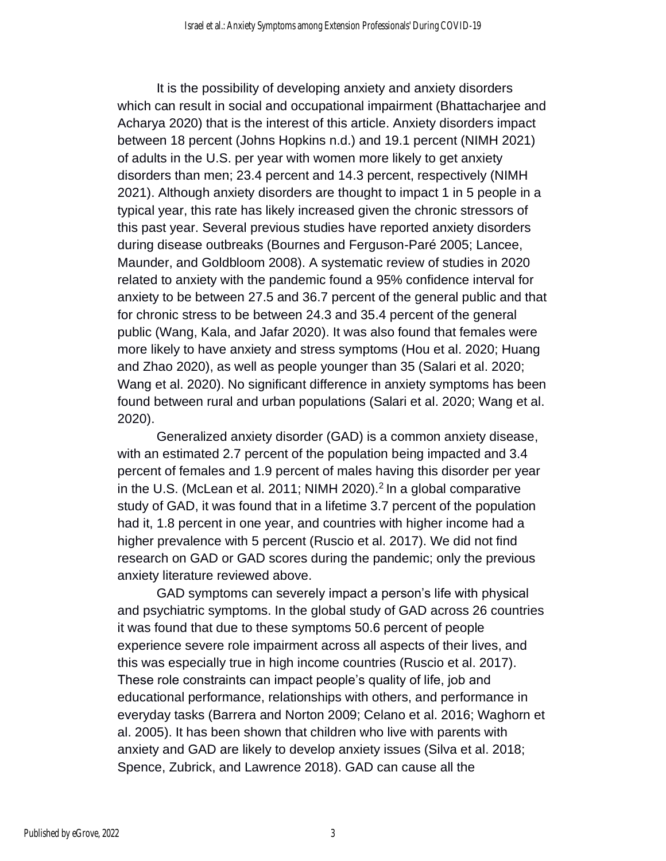It is the possibility of developing anxiety and anxiety disorders which can result in social and occupational impairment (Bhattacharjee and Acharya 2020) that is the interest of this article. Anxiety disorders impact between 18 percent (Johns Hopkins n.d.) and 19.1 percent (NIMH 2021) of adults in the U.S. per year with women more likely to get anxiety disorders than men; 23.4 percent and 14.3 percent, respectively (NIMH 2021). Although anxiety disorders are thought to impact 1 in 5 people in a typical year, this rate has likely increased given the chronic stressors of this past year. Several previous studies have reported anxiety disorders during disease outbreaks (Bournes and Ferguson-Paré 2005; Lancee, Maunder, and Goldbloom 2008). A systematic review of studies in 2020 related to anxiety with the pandemic found a 95% confidence interval for anxiety to be between 27.5 and 36.7 percent of the general public and that for chronic stress to be between 24.3 and 35.4 percent of the general public (Wang, Kala, and Jafar 2020). It was also found that females were more likely to have anxiety and stress symptoms (Hou et al. 2020; Huang and Zhao 2020), as well as people younger than 35 (Salari et al. 2020; Wang et al. 2020). No significant difference in anxiety symptoms has been found between rural and urban populations (Salari et al. 2020; Wang et al. 2020).

Generalized anxiety disorder (GAD) is a common anxiety disease, with an estimated 2.7 percent of the population being impacted and 3.4 percent of females and 1.9 percent of males having this disorder per year in the U.S. (McLean et al. 2011; NIMH 2020).<sup>2</sup> In a global comparative study of GAD, it was found that in a lifetime 3.7 percent of the population had it, 1.8 percent in one year, and countries with higher income had a higher prevalence with 5 percent (Ruscio et al. 2017). We did not find research on GAD or GAD scores during the pandemic; only the previous anxiety literature reviewed above.

GAD symptoms can severely impact a person's life with physical and psychiatric symptoms. In the global study of GAD across 26 countries it was found that due to these symptoms 50.6 percent of people experience severe role impairment across all aspects of their lives, and this was especially true in high income countries (Ruscio et al. 2017). These role constraints can impact people's quality of life, job and educational performance, relationships with others, and performance in everyday tasks (Barrera and Norton 2009; Celano et al. 2016; Waghorn et al. 2005). It has been shown that children who live with parents with anxiety and GAD are likely to develop anxiety issues (Silva et al. 2018; Spence, Zubrick, and Lawrence 2018). GAD can cause all the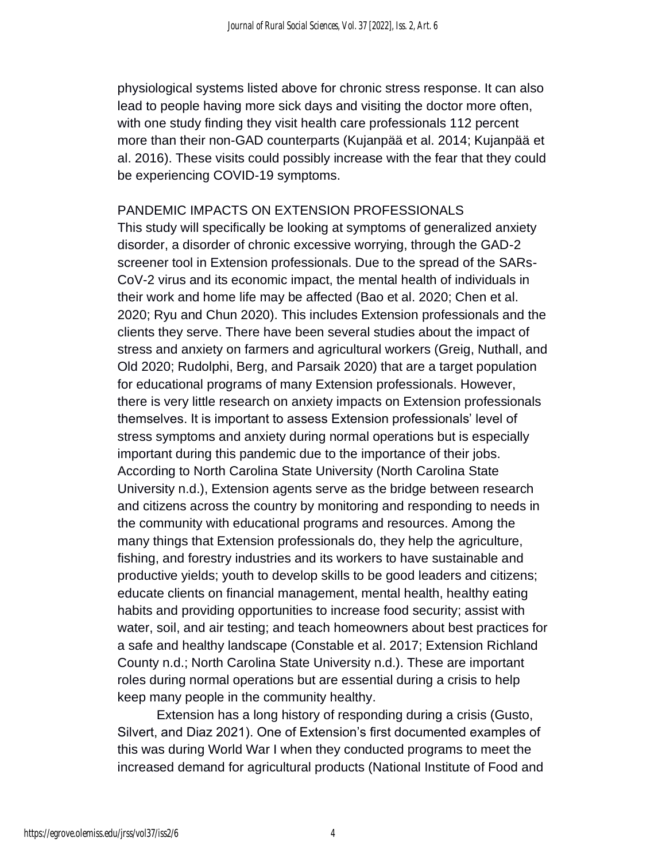physiological systems listed above for chronic stress response. It can also lead to people having more sick days and visiting the doctor more often, with one study finding they visit health care professionals 112 percent more than their non-GAD counterparts (Kujanpää et al. 2014; Kujanpää et al. 2016). These visits could possibly increase with the fear that they could be experiencing COVID-19 symptoms.

#### PANDEMIC IMPACTS ON EXTENSION PROFESSIONALS

This study will specifically be looking at symptoms of generalized anxiety disorder, a disorder of chronic excessive worrying, through the GAD-2 screener tool in Extension professionals. Due to the spread of the SARs-CoV-2 virus and its economic impact, the mental health of individuals in their work and home life may be affected (Bao et al. 2020; Chen et al. 2020; Ryu and Chun 2020). This includes Extension professionals and the clients they serve. There have been several studies about the impact of stress and anxiety on farmers and agricultural workers (Greig, Nuthall, and Old 2020; Rudolphi, Berg, and Parsaik 2020) that are a target population for educational programs of many Extension professionals. However, there is very little research on anxiety impacts on Extension professionals themselves. It is important to assess Extension professionals' level of stress symptoms and anxiety during normal operations but is especially important during this pandemic due to the importance of their jobs. According to North Carolina State University (North Carolina State University n.d.), Extension agents serve as the bridge between research and citizens across the country by monitoring and responding to needs in the community with educational programs and resources. Among the many things that Extension professionals do, they help the agriculture, fishing, and forestry industries and its workers to have sustainable and productive yields; youth to develop skills to be good leaders and citizens; educate clients on financial management, mental health, healthy eating habits and providing opportunities to increase food security; assist with water, soil, and air testing; and teach homeowners about best practices for a safe and healthy landscape (Constable et al. 2017; Extension Richland County n.d.; North Carolina State University n.d.). These are important roles during normal operations but are essential during a crisis to help keep many people in the community healthy.

Extension has a long history of responding during a crisis (Gusto, Silvert, and Diaz 2021). One of Extension's first documented examples of this was during World War I when they conducted programs to meet the increased demand for agricultural products (National Institute of Food and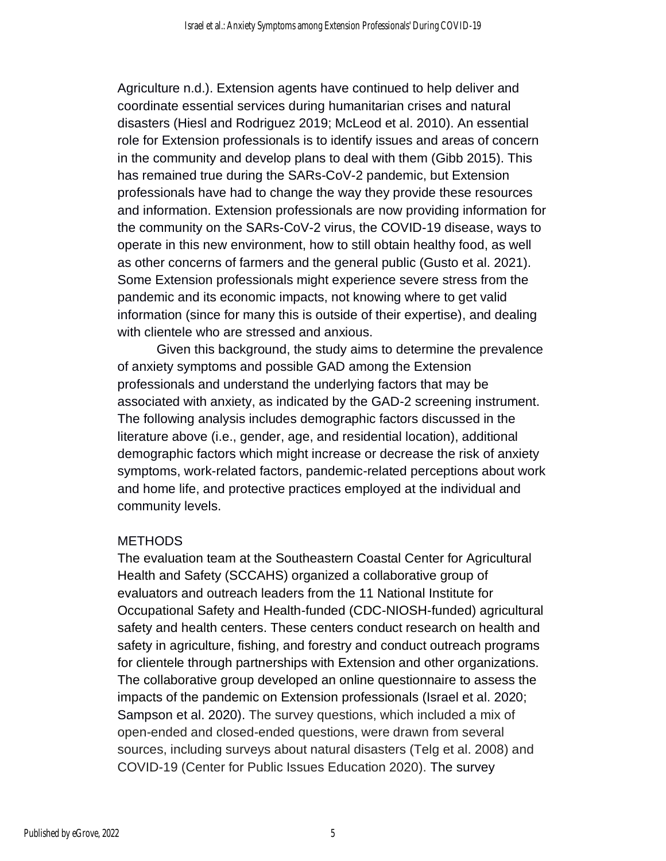Agriculture n.d.). Extension agents have continued to help deliver and coordinate essential services during humanitarian crises and natural disasters (Hiesl and Rodriguez 2019; McLeod et al. 2010). An essential role for Extension professionals is to identify issues and areas of concern in the community and develop plans to deal with them (Gibb 2015). This has remained true during the SARs-CoV-2 pandemic, but Extension professionals have had to change the way they provide these resources and information. Extension professionals are now providing information for the community on the SARs-CoV-2 virus, the COVID-19 disease, ways to operate in this new environment, how to still obtain healthy food, as well as other concerns of farmers and the general public (Gusto et al. 2021). Some Extension professionals might experience severe stress from the pandemic and its economic impacts, not knowing where to get valid information (since for many this is outside of their expertise), and dealing with clientele who are stressed and anxious.

Given this background, the study aims to determine the prevalence of anxiety symptoms and possible GAD among the Extension professionals and understand the underlying factors that may be associated with anxiety, as indicated by the GAD-2 screening instrument. The following analysis includes demographic factors discussed in the literature above (i.e., gender, age, and residential location), additional demographic factors which might increase or decrease the risk of anxiety symptoms, work-related factors, pandemic-related perceptions about work and home life, and protective practices employed at the individual and community levels.

#### **METHODS**

The evaluation team at the Southeastern Coastal Center for Agricultural Health and Safety (SCCAHS) organized a collaborative group of evaluators and outreach leaders from the 11 National Institute for Occupational Safety and Health-funded (CDC-NIOSH-funded) agricultural safety and health centers. These centers conduct research on health and safety in agriculture, fishing, and forestry and conduct outreach programs for clientele through partnerships with Extension and other organizations. The collaborative group developed an online questionnaire to assess the impacts of the pandemic on Extension professionals (Israel et al. 2020; Sampson et al. 2020). The survey questions, which included a mix of open-ended and closed-ended questions, were drawn from several sources, including surveys about natural disasters (Telg et al. 2008) and COVID-19 (Center for Public Issues Education 2020). The survey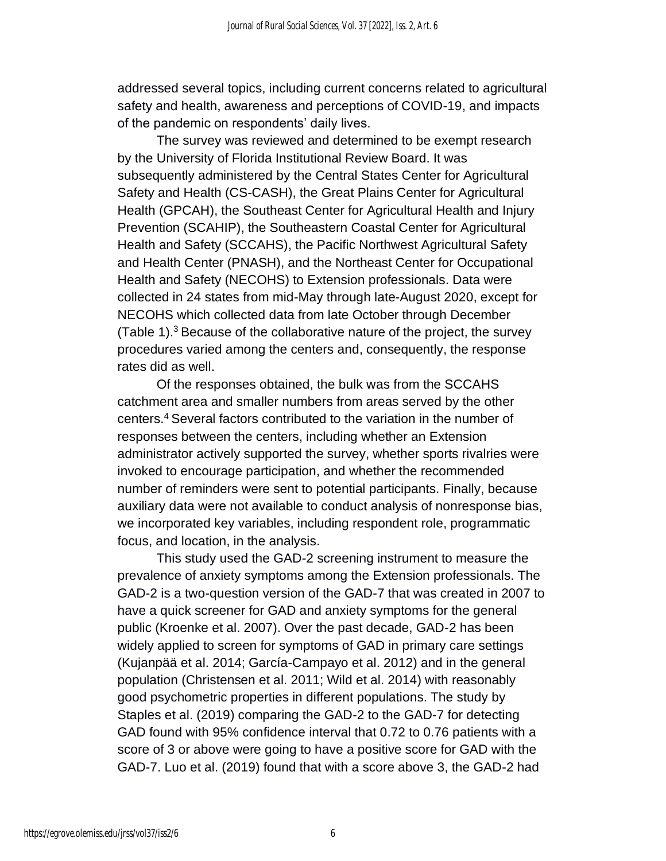addressed several topics, including current concerns related to agricultural safety and health, awareness and perceptions of COVID-19, and impacts of the pandemic on respondents' daily lives.

The survey was reviewed and determined to be exempt research by the University of Florida Institutional Review Board. It was subsequently administered by the Central States Center for Agricultural Safety and Health (CS-CASH), the Great Plains Center for Agricultural Health (GPCAH), the Southeast Center for Agricultural Health and Injury Prevention (SCAHIP), the Southeastern Coastal Center for Agricultural Health and Safety (SCCAHS), the Pacific Northwest Agricultural Safety and Health Center (PNASH), and the Northeast Center for Occupational Health and Safety (NECOHS) to Extension professionals. Data were collected in 24 states from mid-May through late-August 2020, except for NECOHS which collected data from late October through December (Table 1).<sup>3</sup> Because of the collaborative nature of the project, the survey procedures varied among the centers and, consequently, the response rates did as well.

Of the responses obtained, the bulk was from the SCCAHS catchment area and smaller numbers from areas served by the other centers.<sup>4</sup> Several factors contributed to the variation in the number of responses between the centers, including whether an Extension administrator actively supported the survey, whether sports rivalries were invoked to encourage participation, and whether the recommended number of reminders were sent to potential participants. Finally, because auxiliary data were not available to conduct analysis of nonresponse bias, we incorporated key variables, including respondent role, programmatic focus, and location, in the analysis.

This study used the GAD-2 screening instrument to measure the prevalence of anxiety symptoms among the Extension professionals. The GAD-2 is a two-question version of the GAD-7 that was created in 2007 to have a quick screener for GAD and anxiety symptoms for the general public (Kroenke et al. 2007). Over the past decade, GAD-2 has been widely applied to screen for symptoms of GAD in primary care settings (Kujanpää et al. 2014; García-Campayo et al. 2012) and in the general population (Christensen et al. 2011; Wild et al. 2014) with reasonably good psychometric properties in different populations. The study by Staples et al. (2019) comparing the GAD-2 to the GAD-7 for detecting GAD found with 95% confidence interval that 0.72 to 0.76 patients with a score of 3 or above were going to have a positive score for GAD with the GAD-7. Luo et al. (2019) found that with a score above 3, the GAD-2 had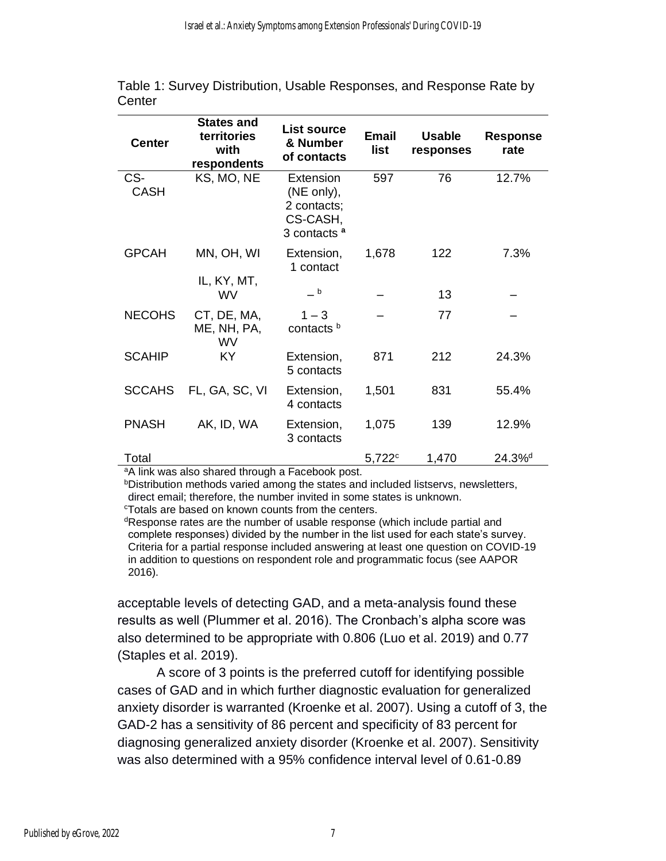| <b>Center</b>      | <b>States and</b><br>territories<br>with<br>respondents | <b>List source</b><br>& Number<br>of contacts                                 | <b>Email</b><br>list | <b>Usable</b><br>responses | Response<br>rate   |
|--------------------|---------------------------------------------------------|-------------------------------------------------------------------------------|----------------------|----------------------------|--------------------|
| CS-<br><b>CASH</b> | KS, MO, NE                                              | Extension<br>(NE only),<br>2 contacts;<br>CS-CASH,<br>3 contacts <sup>a</sup> | 597                  | 76                         | 12.7%              |
| <b>GPCAH</b>       | MN, OH, WI<br>IL, KY, MT,                               | Extension,<br>1 contact                                                       | 1,678                | 122                        | 7.3%               |
|                    | WV                                                      | $-b$                                                                          |                      | 13                         |                    |
| <b>NECOHS</b>      | CT, DE, MA,<br>ME, NH, PA,<br><b>WV</b>                 | $1 - 3$<br>contacts <sup>b</sup>                                              |                      | 77                         |                    |
| <b>SCAHIP</b>      | KY.                                                     | Extension,<br>5 contacts                                                      | 871                  | 212                        | 24.3%              |
| <b>SCCAHS</b>      | FL, GA, SC, VI                                          | Extension,<br>4 contacts                                                      | 1,501                | 831                        | 55.4%              |
| <b>PNASH</b>       | AK, ID, WA                                              | Extension,<br>3 contacts                                                      | 1,075                | 139                        | 12.9%              |
| Total              |                                                         |                                                                               | $5,722^c$            | 1,470                      | 24.3% <sup>d</sup> |

Table 1: Survey Distribution, Usable Responses, and Response Rate by **Center** 

aA link was also shared through a Facebook post.

bDistribution methods varied among the states and included listservs, newsletters, direct email; therefore, the number invited in some states is unknown.

<sup>c</sup>Totals are based on known counts from the centers.

<sup>d</sup>Response rates are the number of usable response (which include partial and complete responses) divided by the number in the list used for each state's survey. Criteria for a partial response included answering at least one question on COVID-19 in addition to questions on respondent role and programmatic focus (see AAPOR 2016).

acceptable levels of detecting GAD, and a meta-analysis found these results as well (Plummer et al. 2016). The Cronbach's alpha score was also determined to be appropriate with 0.806 (Luo et al. 2019) and 0.77 (Staples et al. 2019).

A score of 3 points is the preferred cutoff for identifying possible cases of GAD and in which further diagnostic evaluation for generalized anxiety disorder is warranted (Kroenke et al. 2007). Using a cutoff of 3, the GAD-2 has a sensitivity of 86 percent and specificity of 83 percent for diagnosing generalized anxiety disorder (Kroenke et al. 2007). Sensitivity was also determined with a 95% confidence interval level of 0.61-0.89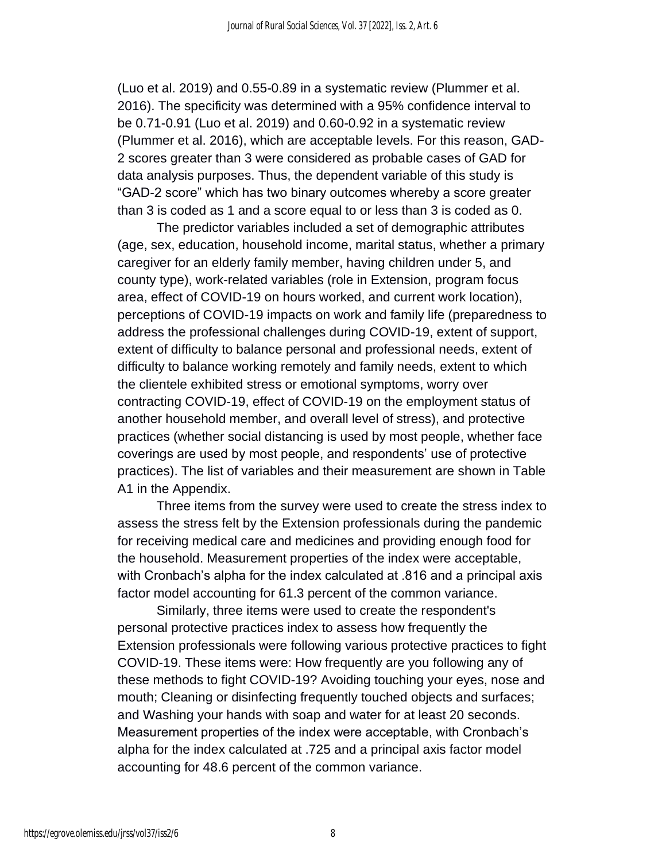(Luo et al. 2019) and 0.55-0.89 in a systematic review (Plummer et al. 2016). The specificity was determined with a 95% confidence interval to be 0.71-0.91 (Luo et al. 2019) and 0.60-0.92 in a systematic review (Plummer et al. 2016), which are acceptable levels. For this reason, GAD-2 scores greater than 3 were considered as probable cases of GAD for data analysis purposes. Thus, the dependent variable of this study is "GAD-2 score" which has two binary outcomes whereby a score greater than 3 is coded as 1 and a score equal to or less than 3 is coded as 0.

The predictor variables included a set of demographic attributes (age, sex, education, household income, marital status, whether a primary caregiver for an elderly family member, having children under 5, and county type), work-related variables (role in Extension, program focus area, effect of COVID-19 on hours worked, and current work location), perceptions of COVID-19 impacts on work and family life (preparedness to address the professional challenges during COVID-19, extent of support, extent of difficulty to balance personal and professional needs, extent of difficulty to balance working remotely and family needs, extent to which the clientele exhibited stress or emotional symptoms, worry over contracting COVID-19, effect of COVID-19 on the employment status of another household member, and overall level of stress), and protective practices (whether social distancing is used by most people, whether face coverings are used by most people, and respondents' use of protective practices). The list of variables and their measurement are shown in Table A1 in the Appendix.

Three items from the survey were used to create the stress index to assess the stress felt by the Extension professionals during the pandemic for receiving medical care and medicines and providing enough food for the household. Measurement properties of the index were acceptable, with Cronbach's alpha for the index calculated at .816 and a principal axis factor model accounting for 61.3 percent of the common variance.

Similarly, three items were used to create the respondent's personal protective practices index to assess how frequently the Extension professionals were following various protective practices to fight COVID-19. These items were: How frequently are you following any of these methods to fight COVID-19? Avoiding touching your eyes, nose and mouth; Cleaning or disinfecting frequently touched objects and surfaces; and Washing your hands with soap and water for at least 20 seconds. Measurement properties of the index were acceptable, with Cronbach's alpha for the index calculated at .725 and a principal axis factor model accounting for 48.6 percent of the common variance.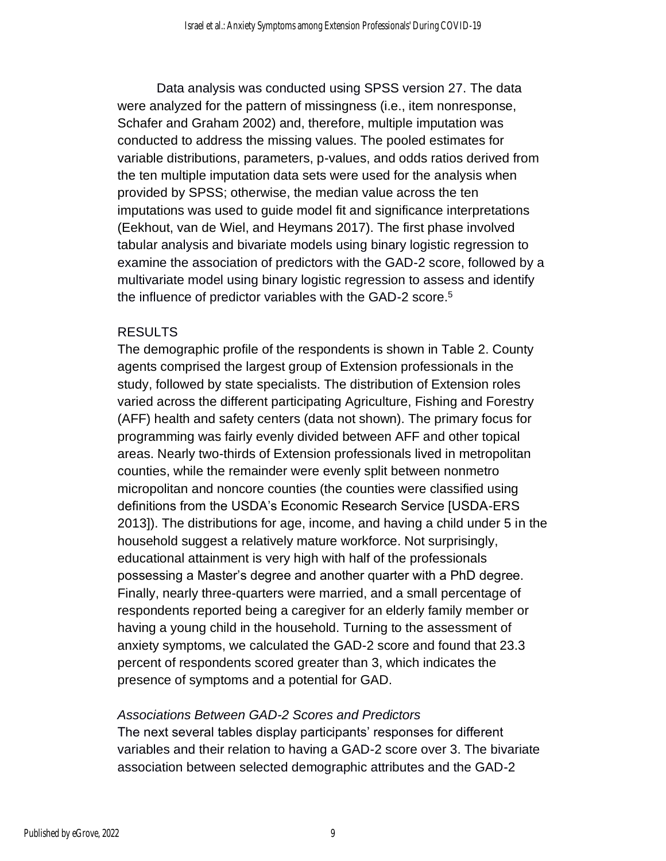Data analysis was conducted using SPSS version 27. The data were analyzed for the pattern of missingness (i.e., item nonresponse, Schafer and Graham 2002) and, therefore, multiple imputation was conducted to address the missing values. The pooled estimates for variable distributions, parameters, p-values, and odds ratios derived from the ten multiple imputation data sets were used for the analysis when provided by SPSS; otherwise, the median value across the ten imputations was used to guide model fit and significance interpretations (Eekhout, van de Wiel, and Heymans 2017). The first phase involved tabular analysis and bivariate models using binary logistic regression to examine the association of predictors with the GAD-2 score, followed by a multivariate model using binary logistic regression to assess and identify the influence of predictor variables with the GAD-2 score.<sup>5</sup>

#### RESULTS

The demographic profile of the respondents is shown in Table 2. County agents comprised the largest group of Extension professionals in the study, followed by state specialists. The distribution of Extension roles varied across the different participating Agriculture, Fishing and Forestry (AFF) health and safety centers (data not shown). The primary focus for programming was fairly evenly divided between AFF and other topical areas. Nearly two-thirds of Extension professionals lived in metropolitan counties, while the remainder were evenly split between nonmetro micropolitan and noncore counties (the counties were classified using definitions from the USDA's Economic Research Service [USDA-ERS 2013]). The distributions for age, income, and having a child under 5 in the household suggest a relatively mature workforce. Not surprisingly, educational attainment is very high with half of the professionals possessing a Master's degree and another quarter with a PhD degree. Finally, nearly three-quarters were married, and a small percentage of respondents reported being a caregiver for an elderly family member or having a young child in the household. Turning to the assessment of anxiety symptoms, we calculated the GAD-2 score and found that 23.3 percent of respondents scored greater than 3, which indicates the presence of symptoms and a potential for GAD.

#### *Associations Between GAD-2 Scores and Predictors*

The next several tables display participants' responses for different variables and their relation to having a GAD-2 score over 3. The bivariate association between selected demographic attributes and the GAD-2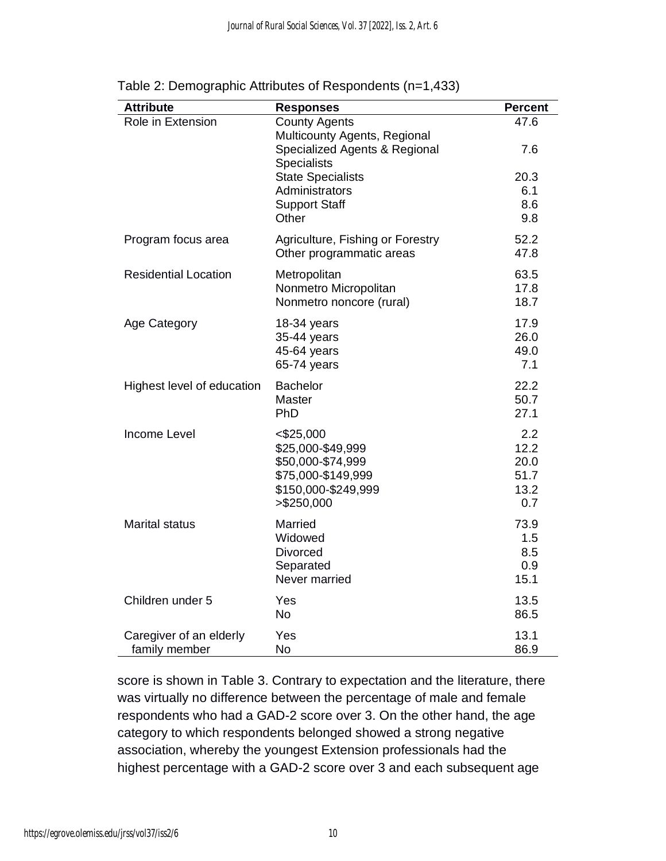| <b>Attribute</b>                         | <b>Responses</b>                                                                                                   | <b>Percent</b>                             |
|------------------------------------------|--------------------------------------------------------------------------------------------------------------------|--------------------------------------------|
| Role in Extension                        | <b>County Agents</b><br>Multicounty Agents, Regional<br>Specialized Agents & Regional<br>Specialists               | 47.6<br>7.6                                |
|                                          | <b>State Specialists</b><br>Administrators<br><b>Support Staff</b><br>Other                                        | 20.3<br>6.1<br>8.6<br>9.8                  |
| Program focus area                       | Agriculture, Fishing or Forestry<br>Other programmatic areas                                                       | 52.2<br>47.8                               |
| <b>Residential Location</b>              | Metropolitan<br>Nonmetro Micropolitan<br>Nonmetro noncore (rural)                                                  | 63.5<br>17.8<br>18.7                       |
| <b>Age Category</b>                      | 18-34 years<br>35-44 years<br>45-64 years<br>65-74 years                                                           | 17.9<br>26.0<br>49.0<br>7.1                |
| Highest level of education               | <b>Bachelor</b><br>Master<br>PhD                                                                                   | 22.2<br>50.7<br>27.1                       |
| Income Level                             | $<$ \$25,000<br>\$25,000-\$49,999<br>\$50,000-\$74,999<br>\$75,000-\$149,999<br>\$150,000-\$249,999<br>> \$250,000 | 2.2<br>12.2<br>20.0<br>51.7<br>13.2<br>0.7 |
| <b>Marital status</b>                    | Married<br>Widowed<br><b>Divorced</b><br>Separated<br>Never married                                                | 73.9<br>1.5<br>8.5<br>0.9<br>15.1          |
| Children under 5                         | Yes<br><b>No</b>                                                                                                   | 13.5<br>86.5                               |
| Caregiver of an elderly<br>family member | Yes<br><b>No</b>                                                                                                   | 13.1<br>86.9                               |

Table 2: Demographic Attributes of Respondents (n=1,433)

score is shown in Table 3. Contrary to expectation and the literature, there was virtually no difference between the percentage of male and female respondents who had a GAD-2 score over 3. On the other hand, the age category to which respondents belonged showed a strong negative association, whereby the youngest Extension professionals had the highest percentage with a GAD-2 score over 3 and each subsequent age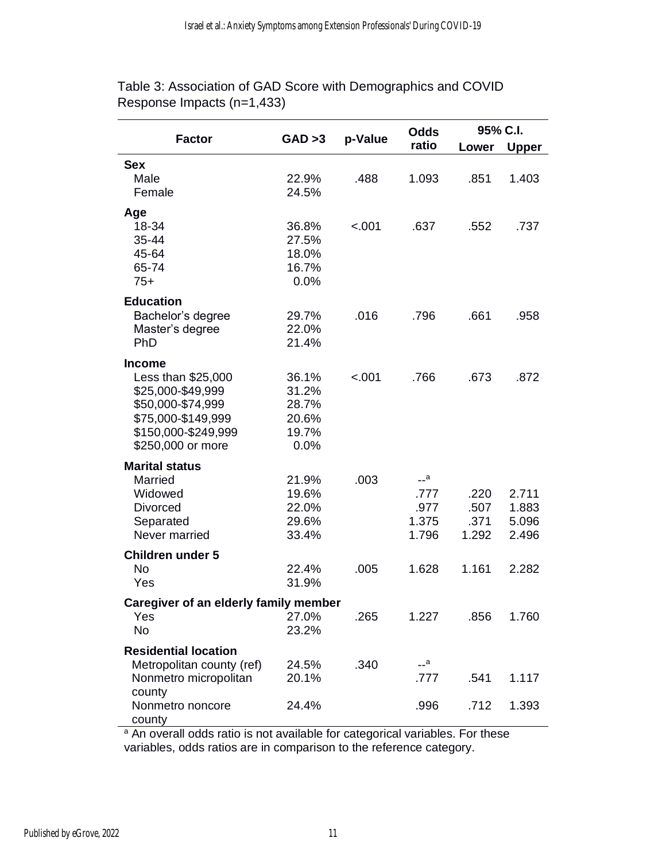|                                       |         |         | <b>Odds</b> | 95% C.I. |       |  |
|---------------------------------------|---------|---------|-------------|----------|-------|--|
| <b>Factor</b>                         | GAD > 3 | p-Value | ratio       | Lower    | Upper |  |
| <b>Sex</b>                            |         |         |             |          |       |  |
| Male                                  | 22.9%   | .488    | 1.093       | .851     | 1.403 |  |
| Female                                | 24.5%   |         |             |          |       |  |
| Age                                   |         |         |             |          |       |  |
| 18-34                                 | 36.8%   | < .001  | .637        | .552     | .737  |  |
| 35-44                                 | 27.5%   |         |             |          |       |  |
| 45-64                                 | 18.0%   |         |             |          |       |  |
| 65-74                                 | 16.7%   |         |             |          |       |  |
| $75+$                                 | 0.0%    |         |             |          |       |  |
| <b>Education</b>                      |         |         |             |          |       |  |
| Bachelor's degree                     | 29.7%   | .016    | .796        | .661     | .958  |  |
| Master's degree                       | 22.0%   |         |             |          |       |  |
| PhD                                   | 21.4%   |         |             |          |       |  |
| <b>Income</b>                         |         |         |             |          |       |  |
| Less than \$25,000                    | 36.1%   | $-.001$ | .766        | .673     | .872  |  |
| \$25,000-\$49,999                     | 31.2%   |         |             |          |       |  |
| \$50,000-\$74,999                     | 28.7%   |         |             |          |       |  |
| \$75,000-\$149,999                    | 20.6%   |         |             |          |       |  |
| \$150,000-\$249,999                   | 19.7%   |         |             |          |       |  |
| \$250,000 or more                     | 0.0%    |         |             |          |       |  |
| <b>Marital status</b>                 |         |         |             |          |       |  |
| Married                               | 21.9%   | .003    | $-$ a       |          |       |  |
| Widowed                               | 19.6%   |         | .777        | .220     | 2.711 |  |
| <b>Divorced</b>                       | 22.0%   |         | .977        | .507     | 1.883 |  |
| Separated                             | 29.6%   |         | 1.375       | .371     | 5.096 |  |
| Never married                         | 33.4%   |         | 1.796       | 1.292    | 2.496 |  |
| <b>Children under 5</b>               |         |         |             |          |       |  |
| <b>No</b>                             | 22.4%   | .005    | 1.628       | 1.161    | 2.282 |  |
| Yes                                   | 31.9%   |         |             |          |       |  |
| Caregiver of an elderly family member |         |         |             |          |       |  |
| Yes                                   | 27.0%   | .265    | 1.227       | .856     | 1.760 |  |
| No                                    | 23.2%   |         |             |          |       |  |
| <b>Residential location</b>           |         |         |             |          |       |  |
| Metropolitan county (ref)             | 24.5%   | .340    | __a         |          |       |  |
| Nonmetro micropolitan                 | 20.1%   |         | .777        | .541     | 1.117 |  |
| county                                |         |         |             |          |       |  |
| Nonmetro noncore                      | 24.4%   |         | .996        | .712     | 1.393 |  |
| county                                |         |         |             |          |       |  |

Table 3: Association of GAD Score with Demographics and COVID Response Impacts (n=1,433)

<sup>a</sup> An overall odds ratio is not available for categorical variables. For these variables, odds ratios are in comparison to the reference category.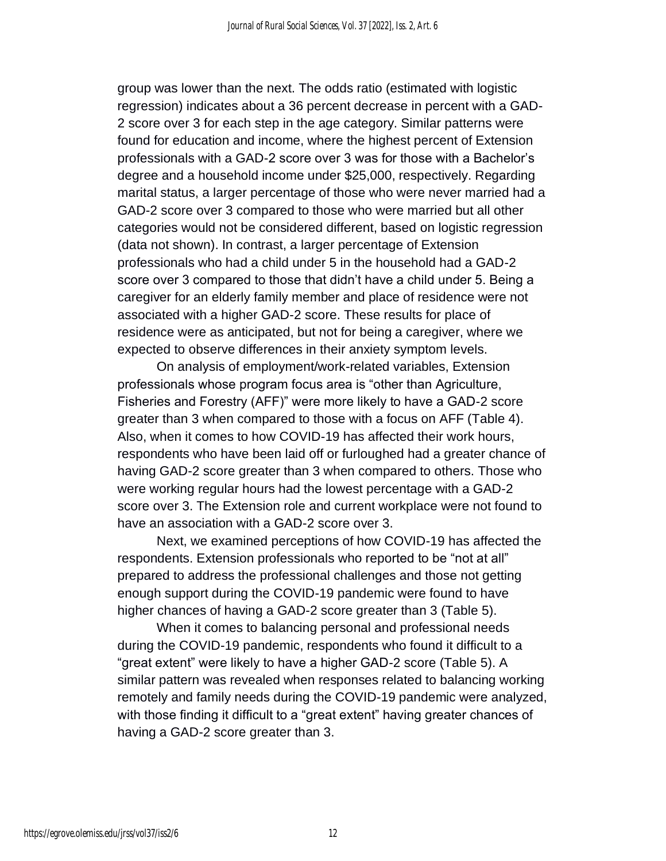group was lower than the next. The odds ratio (estimated with logistic regression) indicates about a 36 percent decrease in percent with a GAD-2 score over 3 for each step in the age category. Similar patterns were found for education and income, where the highest percent of Extension professionals with a GAD-2 score over 3 was for those with a Bachelor's degree and a household income under \$25,000, respectively. Regarding marital status, a larger percentage of those who were never married had a GAD-2 score over 3 compared to those who were married but all other categories would not be considered different, based on logistic regression (data not shown). In contrast, a larger percentage of Extension professionals who had a child under 5 in the household had a GAD-2 score over 3 compared to those that didn't have a child under 5. Being a caregiver for an elderly family member and place of residence were not associated with a higher GAD-2 score. These results for place of residence were as anticipated, but not for being a caregiver, where we expected to observe differences in their anxiety symptom levels.

On analysis of employment/work-related variables, Extension professionals whose program focus area is "other than Agriculture, Fisheries and Forestry (AFF)" were more likely to have a GAD-2 score greater than 3 when compared to those with a focus on AFF (Table 4). Also, when it comes to how COVID-19 has affected their work hours, respondents who have been laid off or furloughed had a greater chance of having GAD-2 score greater than 3 when compared to others. Those who were working regular hours had the lowest percentage with a GAD-2 score over 3. The Extension role and current workplace were not found to have an association with a GAD-2 score over 3.

Next, we examined perceptions of how COVID-19 has affected the respondents. Extension professionals who reported to be "not at all" prepared to address the professional challenges and those not getting enough support during the COVID-19 pandemic were found to have higher chances of having a GAD-2 score greater than 3 (Table 5).

When it comes to balancing personal and professional needs during the COVID-19 pandemic, respondents who found it difficult to a "great extent" were likely to have a higher GAD-2 score (Table 5). A similar pattern was revealed when responses related to balancing working remotely and family needs during the COVID-19 pandemic were analyzed, with those finding it difficult to a "great extent" having greater chances of having a GAD-2 score greater than 3.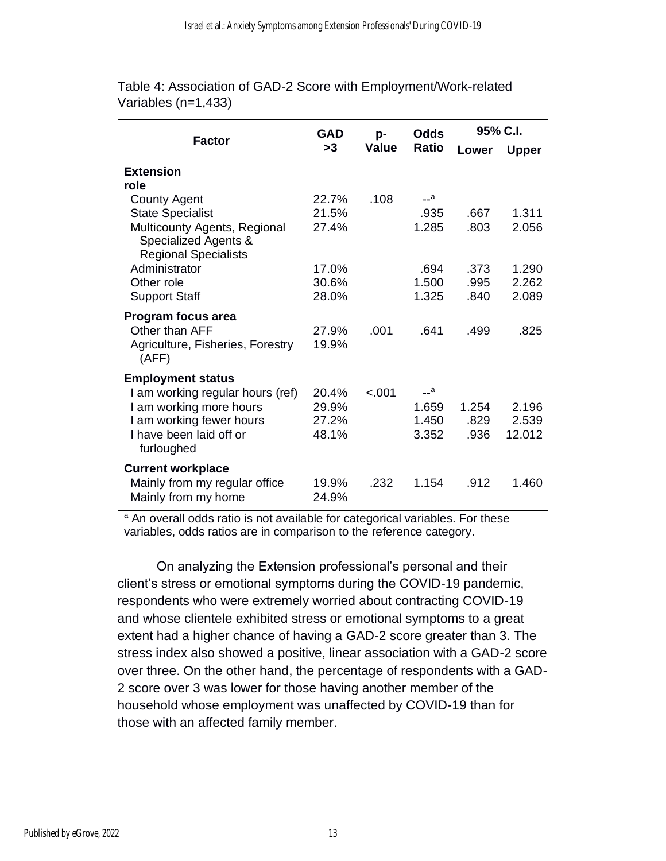| <b>Factor</b>                                                                              | GAD            | p-           | Odds         | 95% C.I. |              |
|--------------------------------------------------------------------------------------------|----------------|--------------|--------------|----------|--------------|
|                                                                                            | >3             | <b>Value</b> | <b>Ratio</b> | Lower    | <b>Upper</b> |
| <b>Extension</b>                                                                           |                |              |              |          |              |
| role                                                                                       |                |              |              |          |              |
| <b>County Agent</b>                                                                        | 22.7%          | .108         | $-a$         |          |              |
| <b>State Specialist</b>                                                                    | 21.5%          |              | .935         | .667     | 1.311        |
| <b>Multicounty Agents, Regional</b><br>Specialized Agents &<br><b>Regional Specialists</b> | 27.4%          |              | 1.285        | .803     | 2.056        |
| Administrator                                                                              | 17.0%          |              | .694         | .373     | 1.290        |
| Other role                                                                                 | 30.6%          |              | 1.500        | .995     | 2.262        |
| <b>Support Staff</b>                                                                       | 28.0%          |              | 1.325        | .840     | 2.089        |
|                                                                                            |                |              |              |          |              |
| Program focus area                                                                         |                |              |              |          |              |
| Other than AFF                                                                             | 27.9%          | .001         | .641         | .499     | .825         |
| Agriculture, Fisheries, Forestry<br>(AFF)                                                  | 19.9%          |              |              |          |              |
| <b>Employment status</b>                                                                   |                |              |              |          |              |
| I am working regular hours (ref)                                                           | 20.4%          | $-.001$      | $-a$         |          |              |
| I am working more hours                                                                    | 29.9%          |              | 1.659        | 1.254    | 2.196        |
| I am working fewer hours                                                                   | 27.2%          |              | 1.450        | .829     | 2.539        |
| I have been laid off or<br>furloughed                                                      | 48.1%          |              | 3.352        | .936     | 12.012       |
| <b>Current workplace</b>                                                                   |                |              |              |          |              |
| Mainly from my regular office<br>Mainly from my home                                       | 19.9%<br>24.9% | .232         | 1.154        | .912     | 1.460        |

Table 4: Association of GAD-2 Score with Employment/Work-related Variables (n=1,433)

<sup>a</sup> An overall odds ratio is not available for categorical variables. For these variables, odds ratios are in comparison to the reference category.

On analyzing the Extension professional's personal and their client's stress or emotional symptoms during the COVID-19 pandemic, respondents who were extremely worried about contracting COVID-19 and whose clientele exhibited stress or emotional symptoms to a great extent had a higher chance of having a GAD-2 score greater than 3. The stress index also showed a positive, linear association with a GAD-2 score over three. On the other hand, the percentage of respondents with a GAD-2 score over 3 was lower for those having another member of the household whose employment was unaffected by COVID-19 than for those with an affected family member.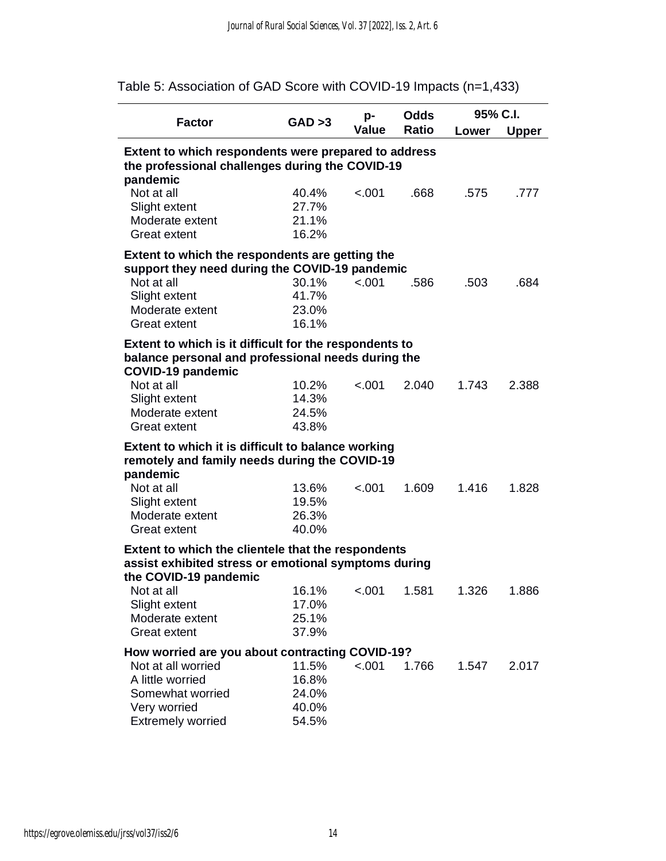| <b>Factor</b>                                                                                                | GAD > 3        | p-           | Odds         | 95% C.I. |              |
|--------------------------------------------------------------------------------------------------------------|----------------|--------------|--------------|----------|--------------|
|                                                                                                              |                | <b>Value</b> | <b>Ratio</b> | Lower    | <b>Upper</b> |
| Extent to which respondents were prepared to address                                                         |                |              |              |          |              |
| the professional challenges during the COVID-19                                                              |                |              |              |          |              |
| pandemic<br>Not at all                                                                                       | 40.4%          | < .001       | .668         | .575     | .777         |
| Slight extent                                                                                                | 27.7%          |              |              |          |              |
| Moderate extent                                                                                              | 21.1%          |              |              |          |              |
| <b>Great extent</b>                                                                                          | 16.2%          |              |              |          |              |
| Extent to which the respondents are getting the                                                              |                |              |              |          |              |
| support they need during the COVID-19 pandemic                                                               |                |              |              |          |              |
| Not at all                                                                                                   | 30.1%          | < .001       | .586         | .503     | .684         |
| Slight extent<br>Moderate extent                                                                             | 41.7%<br>23.0% |              |              |          |              |
| <b>Great extent</b>                                                                                          | 16.1%          |              |              |          |              |
|                                                                                                              |                |              |              |          |              |
| Extent to which is it difficult for the respondents to<br>balance personal and professional needs during the |                |              |              |          |              |
| <b>COVID-19 pandemic</b>                                                                                     |                |              |              |          |              |
| Not at all                                                                                                   | 10.2%          | < .001       | 2.040        | 1.743    | 2.388        |
| Slight extent                                                                                                | 14.3%          |              |              |          |              |
| Moderate extent                                                                                              | 24.5%          |              |              |          |              |
| <b>Great extent</b>                                                                                          | 43.8%          |              |              |          |              |
| Extent to which it is difficult to balance working                                                           |                |              |              |          |              |
| remotely and family needs during the COVID-19                                                                |                |              |              |          |              |
| pandemic                                                                                                     |                |              |              |          |              |
| Not at all                                                                                                   | 13.6%          | < .001       | 1.609        | 1.416    | 1.828        |
| Slight extent<br>Moderate extent                                                                             | 19.5%<br>26.3% |              |              |          |              |
| <b>Great extent</b>                                                                                          | 40.0%          |              |              |          |              |
|                                                                                                              |                |              |              |          |              |
| Extent to which the clientele that the respondents<br>assist exhibited stress or emotional symptoms during   |                |              |              |          |              |
| the COVID-19 pandemic                                                                                        |                |              |              |          |              |
| Not at all                                                                                                   | $16.1\%$       | $-.001$      | 1.581        | 1.326    | 1.886        |
| Slight extent                                                                                                | 17.0%          |              |              |          |              |
| Moderate extent                                                                                              | 25.1%          |              |              |          |              |
| <b>Great extent</b>                                                                                          | 37.9%          |              |              |          |              |
| How worried are you about contracting COVID-19?                                                              |                |              |              |          |              |
| Not at all worried                                                                                           | 11.5%          | $-.001$      | 1.766        | 1.547    | 2.017        |
| A little worried                                                                                             | 16.8%          |              |              |          |              |
| Somewhat worried                                                                                             | 24.0%          |              |              |          |              |
| Very worried                                                                                                 | 40.0%          |              |              |          |              |
| <b>Extremely worried</b>                                                                                     | 54.5%          |              |              |          |              |

Table 5: Association of GAD Score with COVID-19 Impacts (n=1,433)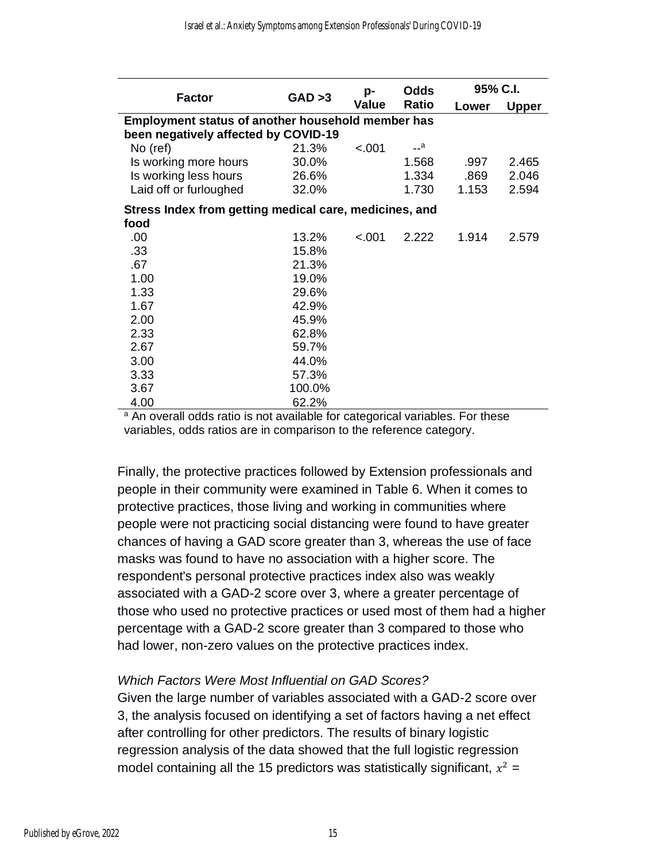|                                                        |         | p-           | <b>Odds</b> | 95% C.I. |              |  |
|--------------------------------------------------------|---------|--------------|-------------|----------|--------------|--|
| Factor                                                 | GAD > 3 | <b>Value</b> | Ratio       | Lower    | <b>Upper</b> |  |
| Employment status of another household member has      |         |              |             |          |              |  |
| been negatively affected by COVID-19                   |         |              |             |          |              |  |
| No (ref)                                               | 21.3%   | < .001       | $-$ a       |          |              |  |
| Is working more hours                                  | 30.0%   |              | 1.568       | .997     | 2.465        |  |
| Is working less hours                                  | 26.6%   |              | 1.334       | .869     | 2.046        |  |
| Laid off or furloughed                                 | 32.0%   |              | 1.730       | 1.153    | 2.594        |  |
| Stress Index from getting medical care, medicines, and |         |              |             |          |              |  |
| food                                                   |         |              |             |          |              |  |
| .00.                                                   | 13.2%   | < .001       | 2.222       | 1.914    | 2.579        |  |
| .33                                                    | 15.8%   |              |             |          |              |  |
| .67                                                    | 21.3%   |              |             |          |              |  |
| 1.00                                                   | 19.0%   |              |             |          |              |  |
| 1.33                                                   | 29.6%   |              |             |          |              |  |
| 1.67                                                   | 42.9%   |              |             |          |              |  |
| 2.00                                                   | 45.9%   |              |             |          |              |  |
| 2.33                                                   | 62.8%   |              |             |          |              |  |
| 2.67                                                   | 59.7%   |              |             |          |              |  |
| 3.00                                                   | 44.0%   |              |             |          |              |  |
| 3.33                                                   | 57.3%   |              |             |          |              |  |
| 3.67                                                   | 100.0%  |              |             |          |              |  |
| 4.00                                                   | 62.2%   |              |             |          |              |  |

<sup>a</sup> An overall odds ratio is not available for categorical variables. For these variables, odds ratios are in comparison to the reference category.

Finally, the protective practices followed by Extension professionals and people in their community were examined in Table 6. When it comes to protective practices, those living and working in communities where people were not practicing social distancing were found to have greater chances of having a GAD score greater than 3, whereas the use of face masks was found to have no association with a higher score. The respondent's personal protective practices index also was weakly associated with a GAD-2 score over 3, where a greater percentage of those who used no protective practices or used most of them had a higher percentage with a GAD-2 score greater than 3 compared to those who had lower, non-zero values on the protective practices index.

#### *Which Factors Were Most Influential on GAD Scores?*

Given the large number of variables associated with a GAD-2 score over 3, the analysis focused on identifying a set of factors having a net effect after controlling for other predictors. The results of binary logistic regression analysis of the data showed that the full logistic regression model containing all the 15 predictors was statistically significant,  $x^2 =$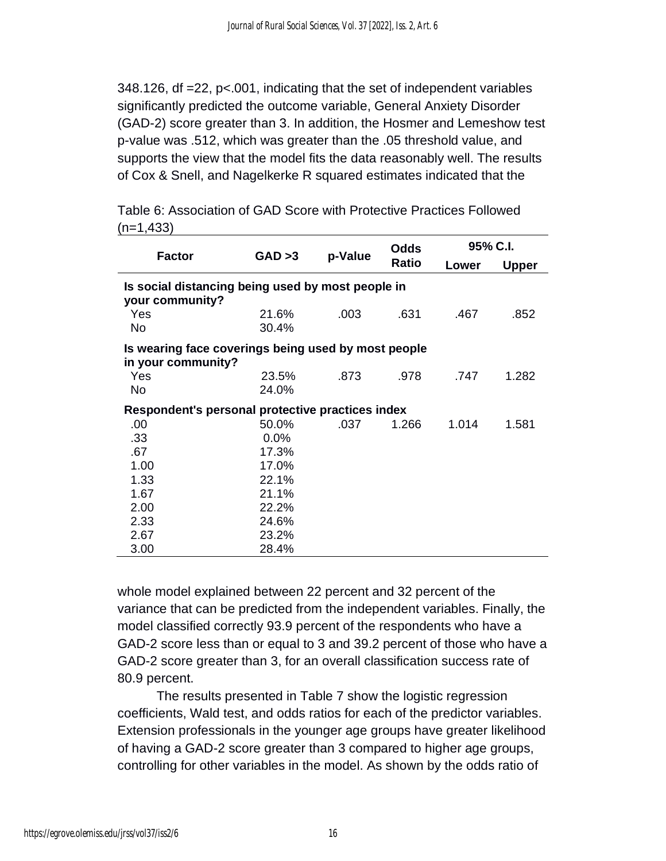348.126, df =22, p<.001, indicating that the set of independent variables significantly predicted the outcome variable, General Anxiety Disorder (GAD-2) score greater than 3. In addition, the Hosmer and Lemeshow test p-value was .512, which was greater than the .05 threshold value, and supports the view that the model fits the data reasonably well. The results of Cox & Snell, and Nagelkerke R squared estimates indicated that the

Table 6: Association of GAD Score with Protective Practices Followed  $(n=1,433)$ 

|                                                                           | GAD > 3        | p-Value | <b>Odds</b>  | 95% C.I. |              |  |
|---------------------------------------------------------------------------|----------------|---------|--------------|----------|--------------|--|
| <b>Factor</b>                                                             |                |         | <b>Ratio</b> | Lower    | <b>Upper</b> |  |
| Is social distancing being used by most people in<br>your community?      |                |         |              |          |              |  |
| Yes<br><b>No</b>                                                          | 21.6%<br>30.4% | .003    | .631         | .467     | .852         |  |
| Is wearing face coverings being used by most people<br>in your community? |                |         |              |          |              |  |
| Yes<br>No.                                                                | 23.5%<br>24.0% | .873    | .978         | .747     | 1.282        |  |
| Respondent's personal protective practices index                          |                |         |              |          |              |  |
| .00                                                                       | 50.0%          | .037    | 1.266        | 1.014    | 1.581        |  |
| .33                                                                       | 0.0%           |         |              |          |              |  |
| .67                                                                       | 17.3%          |         |              |          |              |  |
| 1.00                                                                      | 17.0%          |         |              |          |              |  |
| 1.33                                                                      | 22.1%          |         |              |          |              |  |
| 1.67                                                                      | 21.1%          |         |              |          |              |  |
| 2.00                                                                      | 22.2%          |         |              |          |              |  |
| 2.33                                                                      | 24.6%          |         |              |          |              |  |
| 2.67                                                                      | 23.2%          |         |              |          |              |  |
| 3.00                                                                      | 28.4%          |         |              |          |              |  |

whole model explained between 22 percent and 32 percent of the variance that can be predicted from the independent variables. Finally, the model classified correctly 93.9 percent of the respondents who have a GAD-2 score less than or equal to 3 and 39.2 percent of those who have a GAD-2 score greater than 3, for an overall classification success rate of 80.9 percent.

The results presented in Table 7 show the logistic regression coefficients, Wald test, and odds ratios for each of the predictor variables. Extension professionals in the younger age groups have greater likelihood of having a GAD-2 score greater than 3 compared to higher age groups, controlling for other variables in the model. As shown by the odds ratio of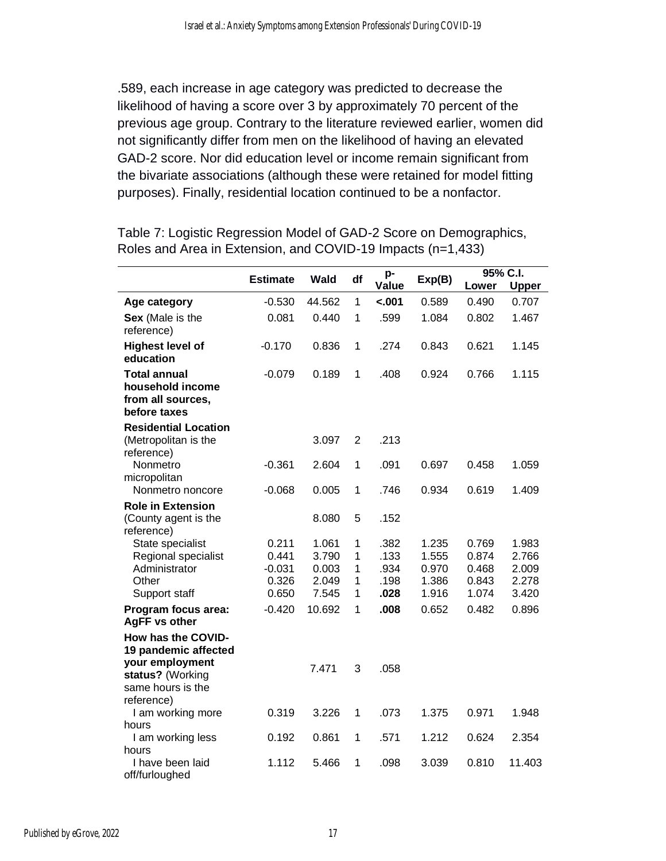.589, each increase in age category was predicted to decrease the likelihood of having a score over 3 by approximately 70 percent of the previous age group. Contrary to the literature reviewed earlier, women did not significantly differ from men on the likelihood of having an elevated GAD-2 score. Nor did education level or income remain significant from the bivariate associations (although these were retained for model fitting purposes). Finally, residential location continued to be a nonfactor.

|                                                                              |                            |                         |                  |                      |                         |                         | 95% C.I.                |
|------------------------------------------------------------------------------|----------------------------|-------------------------|------------------|----------------------|-------------------------|-------------------------|-------------------------|
|                                                                              | <b>Estimate</b>            | <b>Wald</b>             | df               | p-<br>Value          | Exp(B)                  | Lower                   | <b>Upper</b>            |
| Age category                                                                 | $-0.530$                   | 44.562                  | $\mathbf{1}$     | $-.001$              | 0.589                   | 0.490                   | 0.707                   |
| Sex (Male is the<br>reference)                                               | 0.081                      | 0.440                   | 1                | .599                 | 1.084                   | 0.802                   | 1.467                   |
| <b>Highest level of</b><br>education                                         | $-0.170$                   | 0.836                   | 1                | .274                 | 0.843                   | 0.621                   | 1.145                   |
| <b>Total annual</b><br>household income<br>from all sources,<br>before taxes | $-0.079$                   | 0.189                   | 1                | .408                 | 0.924                   | 0.766                   | 1.115                   |
| <b>Residential Location</b><br>(Metropolitan is the                          |                            | 3.097                   | $\overline{2}$   | .213                 |                         |                         |                         |
| reference)<br>Nonmetro<br>micropolitan                                       | $-0.361$                   | 2.604                   | 1                | .091                 | 0.697                   | 0.458                   | 1.059                   |
| Nonmetro noncore                                                             | $-0.068$                   | 0.005                   | 1                | .746                 | 0.934                   | 0.619                   | 1.409                   |
| <b>Role in Extension</b><br>(County agent is the                             |                            | 8.080                   | 5                | .152                 |                         |                         |                         |
| reference)<br>State specialist<br>Regional specialist<br>Administrator       | 0.211<br>0.441<br>$-0.031$ | 1.061<br>3.790<br>0.003 | 1<br>1<br>1      | .382<br>.133<br>.934 | 1.235<br>1.555<br>0.970 | 0.769<br>0.874<br>0.468 | 1.983<br>2.766<br>2.009 |
| Other<br>Support staff                                                       | 0.326<br>0.650             | 2.049<br>7.545          | $\mathbf 1$<br>1 | .198<br>.028         | 1.386<br>1.916          | 0.843<br>1.074          | 2.278<br>3.420          |
| Program focus area:<br><b>AgFF vs other</b>                                  | $-0.420$                   | 10.692                  | 1                | .008                 | 0.652                   | 0.482                   | 0.896                   |
| How has the COVID-<br>19 pandemic affected                                   |                            |                         |                  |                      |                         |                         |                         |
| your employment<br>status? (Working<br>same hours is the                     |                            | 7.471                   | 3                | .058                 |                         |                         |                         |
| reference)<br>I am working more                                              | 0.319                      | 3.226                   | 1                | .073                 | 1.375                   | 0.971                   | 1.948                   |
| hours<br>I am working less<br>hours                                          | 0.192                      | 0.861                   | 1                | .571                 | 1.212                   | 0.624                   | 2.354                   |
| I have been laid<br>off/furloughed                                           | 1.112                      | 5.466                   | 1                | .098                 | 3.039                   | 0.810                   | 11.403                  |

Table 7: Logistic Regression Model of GAD-2 Score on Demographics, Roles and Area in Extension, and COVID-19 Impacts (n=1,433)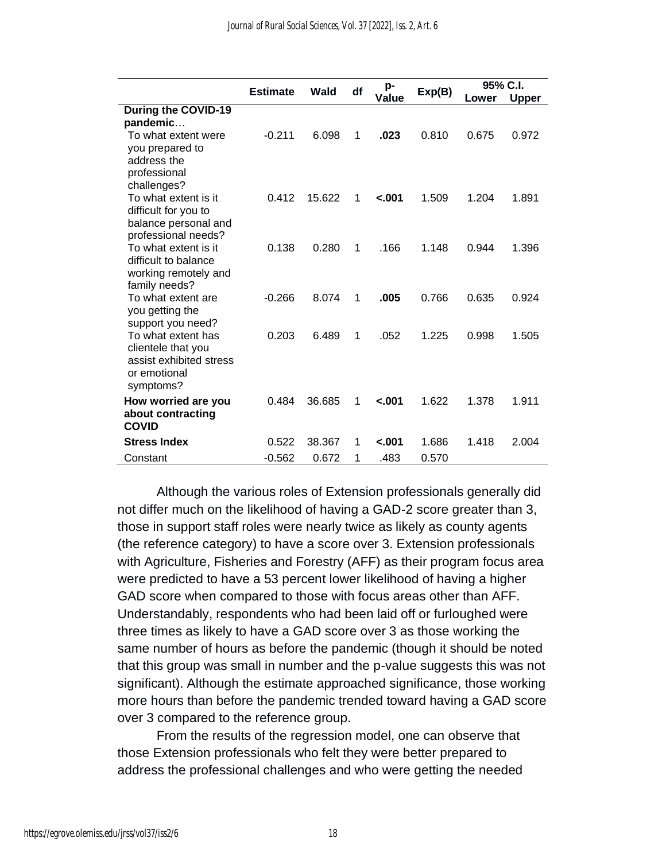|                                   | <b>Estimate</b> | df<br>Wald |   | p-      | Exp(B) | 95% C.I. |              |
|-----------------------------------|-----------------|------------|---|---------|--------|----------|--------------|
|                                   |                 |            |   | Value   |        | Lower    | <b>Upper</b> |
| During the COVID-19               |                 |            |   |         |        |          |              |
| pandemic                          |                 |            |   |         |        |          |              |
| To what extent were               | $-0.211$        | 6.098      | 1 | .023    | 0.810  | 0.675    | 0.972        |
| you prepared to                   |                 |            |   |         |        |          |              |
| address the                       |                 |            |   |         |        |          |              |
| professional<br>challenges?       |                 |            |   |         |        |          |              |
| To what extent is it              | 0.412           | 15.622     | 1 | $-.001$ | 1.509  | 1.204    | 1.891        |
| difficult for you to              |                 |            |   |         |        |          |              |
| balance personal and              |                 |            |   |         |        |          |              |
| professional needs?               |                 |            |   |         |        |          |              |
| To what extent is it              | 0.138           | 0.280      | 1 | .166    | 1.148  | 0.944    | 1.396        |
| difficult to balance              |                 |            |   |         |        |          |              |
| working remotely and              |                 |            |   |         |        |          |              |
| family needs?                     |                 |            |   |         |        |          |              |
| To what extent are                | $-0.266$        | 8.074      | 1 | .005    | 0.766  | 0.635    | 0.924        |
| you getting the                   |                 |            |   |         |        |          |              |
| support you need?                 |                 |            |   |         |        |          |              |
| To what extent has                | 0.203           | 6.489      | 1 | .052    | 1.225  | 0.998    | 1.505        |
| clientele that you                |                 |            |   |         |        |          |              |
| assist exhibited stress           |                 |            |   |         |        |          |              |
| or emotional                      |                 |            |   |         |        |          |              |
| symptoms?                         |                 |            |   |         |        |          |              |
| How worried are you               | 0.484           | 36.685     | 1 | $-.001$ | 1.622  | 1.378    | 1.911        |
| about contracting<br><b>COVID</b> |                 |            |   |         |        |          |              |
|                                   |                 |            |   |         |        |          |              |
| <b>Stress Index</b>               | 0.522           | 38.367     | 1 | $-.001$ | 1.686  | 1.418    | 2.004        |
| Constant                          | $-0.562$        | 0.672      | 1 | .483    | 0.570  |          |              |

Although the various roles of Extension professionals generally did not differ much on the likelihood of having a GAD-2 score greater than 3, those in support staff roles were nearly twice as likely as county agents (the reference category) to have a score over 3. Extension professionals with Agriculture, Fisheries and Forestry (AFF) as their program focus area were predicted to have a 53 percent lower likelihood of having a higher GAD score when compared to those with focus areas other than AFF. Understandably, respondents who had been laid off or furloughed were three times as likely to have a GAD score over 3 as those working the same number of hours as before the pandemic (though it should be noted that this group was small in number and the p-value suggests this was not significant). Although the estimate approached significance, those working more hours than before the pandemic trended toward having a GAD score over 3 compared to the reference group.

From the results of the regression model, one can observe that those Extension professionals who felt they were better prepared to address the professional challenges and who were getting the needed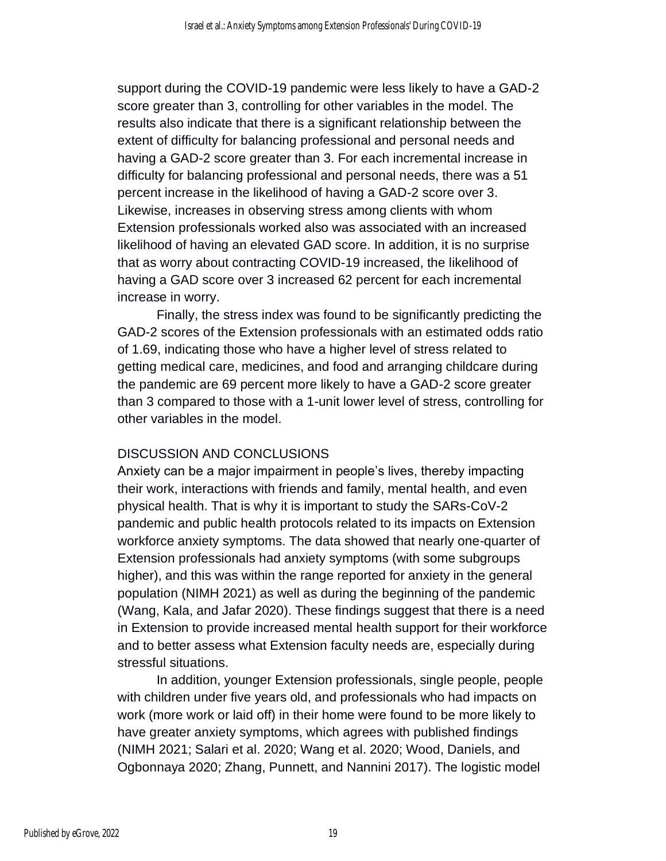support during the COVID-19 pandemic were less likely to have a GAD-2 score greater than 3, controlling for other variables in the model. The results also indicate that there is a significant relationship between the extent of difficulty for balancing professional and personal needs and having a GAD-2 score greater than 3. For each incremental increase in difficulty for balancing professional and personal needs, there was a 51 percent increase in the likelihood of having a GAD-2 score over 3. Likewise, increases in observing stress among clients with whom Extension professionals worked also was associated with an increased likelihood of having an elevated GAD score. In addition, it is no surprise that as worry about contracting COVID-19 increased, the likelihood of having a GAD score over 3 increased 62 percent for each incremental increase in worry.

Finally, the stress index was found to be significantly predicting the GAD-2 scores of the Extension professionals with an estimated odds ratio of 1.69, indicating those who have a higher level of stress related to getting medical care, medicines, and food and arranging childcare during the pandemic are 69 percent more likely to have a GAD-2 score greater than 3 compared to those with a 1-unit lower level of stress, controlling for other variables in the model.

#### DISCUSSION AND CONCLUSIONS

Anxiety can be a major impairment in people's lives, thereby impacting their work, interactions with friends and family, mental health, and even physical health. That is why it is important to study the SARs-CoV-2 pandemic and public health protocols related to its impacts on Extension workforce anxiety symptoms. The data showed that nearly one-quarter of Extension professionals had anxiety symptoms (with some subgroups higher), and this was within the range reported for anxiety in the general population (NIMH 2021) as well as during the beginning of the pandemic (Wang, Kala, and Jafar 2020). These findings suggest that there is a need in Extension to provide increased mental health support for their workforce and to better assess what Extension faculty needs are, especially during stressful situations.

In addition, younger Extension professionals, single people, people with children under five years old, and professionals who had impacts on work (more work or laid off) in their home were found to be more likely to have greater anxiety symptoms, which agrees with published findings (NIMH 2021; Salari et al. 2020; Wang et al. 2020; Wood, Daniels, and Ogbonnaya 2020; Zhang, Punnett, and Nannini 2017). The logistic model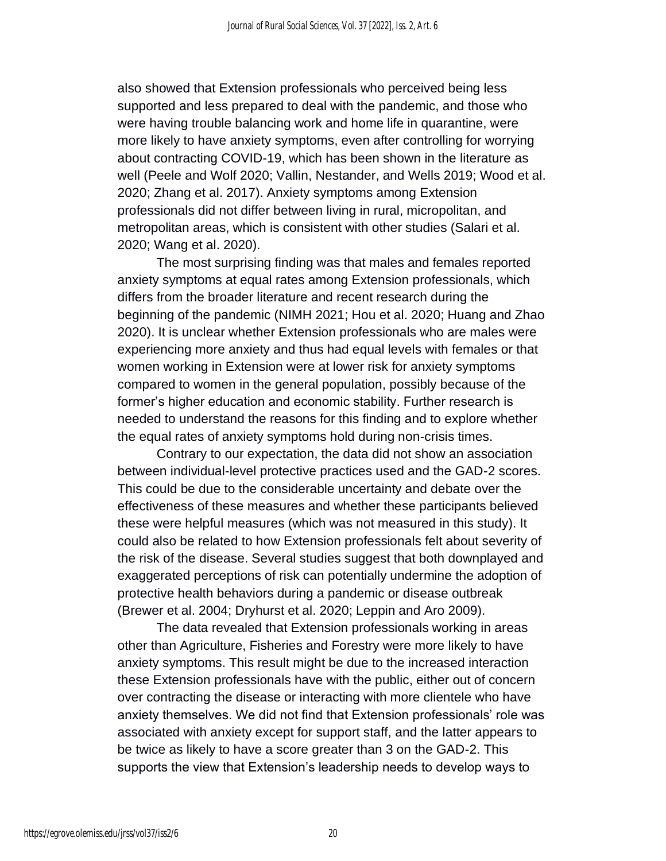also showed that Extension professionals who perceived being less supported and less prepared to deal with the pandemic, and those who were having trouble balancing work and home life in quarantine, were more likely to have anxiety symptoms, even after controlling for worrying about contracting COVID-19, which has been shown in the literature as well (Peele and Wolf 2020; Vallin, Nestander, and Wells 2019; Wood et al. 2020; Zhang et al. 2017). Anxiety symptoms among Extension professionals did not differ between living in rural, micropolitan, and metropolitan areas, which is consistent with other studies (Salari et al. 2020; Wang et al. 2020).

The most surprising finding was that males and females reported anxiety symptoms at equal rates among Extension professionals, which differs from the broader literature and recent research during the beginning of the pandemic (NIMH 2021; Hou et al. 2020; Huang and Zhao 2020). It is unclear whether Extension professionals who are males were experiencing more anxiety and thus had equal levels with females or that women working in Extension were at lower risk for anxiety symptoms compared to women in the general population, possibly because of the former's higher education and economic stability. Further research is needed to understand the reasons for this finding and to explore whether the equal rates of anxiety symptoms hold during non-crisis times.

Contrary to our expectation, the data did not show an association between individual-level protective practices used and the GAD-2 scores. This could be due to the considerable uncertainty and debate over the effectiveness of these measures and whether these participants believed these were helpful measures (which was not measured in this study). It could also be related to how Extension professionals felt about severity of the risk of the disease. Several studies suggest that both downplayed and exaggerated perceptions of risk can potentially undermine the adoption of protective health behaviors during a pandemic or disease outbreak (Brewer et al. 2004; Dryhurst et al. 2020; Leppin and Aro 2009).

The data revealed that Extension professionals working in areas other than Agriculture, Fisheries and Forestry were more likely to have anxiety symptoms. This result might be due to the increased interaction these Extension professionals have with the public, either out of concern over contracting the disease or interacting with more clientele who have anxiety themselves. We did not find that Extension professionals' role was associated with anxiety except for support staff, and the latter appears to be twice as likely to have a score greater than 3 on the GAD-2. This supports the view that Extension's leadership needs to develop ways to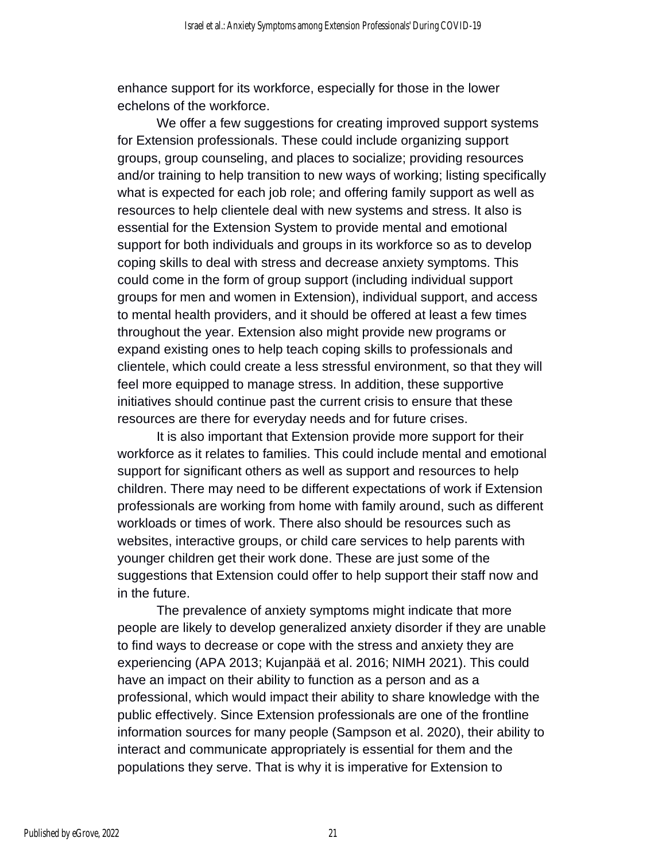enhance support for its workforce, especially for those in the lower echelons of the workforce.

We offer a few suggestions for creating improved support systems for Extension professionals. These could include organizing support groups, group counseling, and places to socialize; providing resources and/or training to help transition to new ways of working; listing specifically what is expected for each job role; and offering family support as well as resources to help clientele deal with new systems and stress. It also is essential for the Extension System to provide mental and emotional support for both individuals and groups in its workforce so as to develop coping skills to deal with stress and decrease anxiety symptoms. This could come in the form of group support (including individual support groups for men and women in Extension), individual support, and access to mental health providers, and it should be offered at least a few times throughout the year. Extension also might provide new programs or expand existing ones to help teach coping skills to professionals and clientele, which could create a less stressful environment, so that they will feel more equipped to manage stress. In addition, these supportive initiatives should continue past the current crisis to ensure that these resources are there for everyday needs and for future crises.

It is also important that Extension provide more support for their workforce as it relates to families. This could include mental and emotional support for significant others as well as support and resources to help children. There may need to be different expectations of work if Extension professionals are working from home with family around, such as different workloads or times of work. There also should be resources such as websites, interactive groups, or child care services to help parents with younger children get their work done. These are just some of the suggestions that Extension could offer to help support their staff now and in the future.

The prevalence of anxiety symptoms might indicate that more people are likely to develop generalized anxiety disorder if they are unable to find ways to decrease or cope with the stress and anxiety they are experiencing (APA 2013; Kujanpää et al. 2016; NIMH 2021). This could have an impact on their ability to function as a person and as a professional, which would impact their ability to share knowledge with the public effectively. Since Extension professionals are one of the frontline information sources for many people (Sampson et al. 2020), their ability to interact and communicate appropriately is essential for them and the populations they serve. That is why it is imperative for Extension to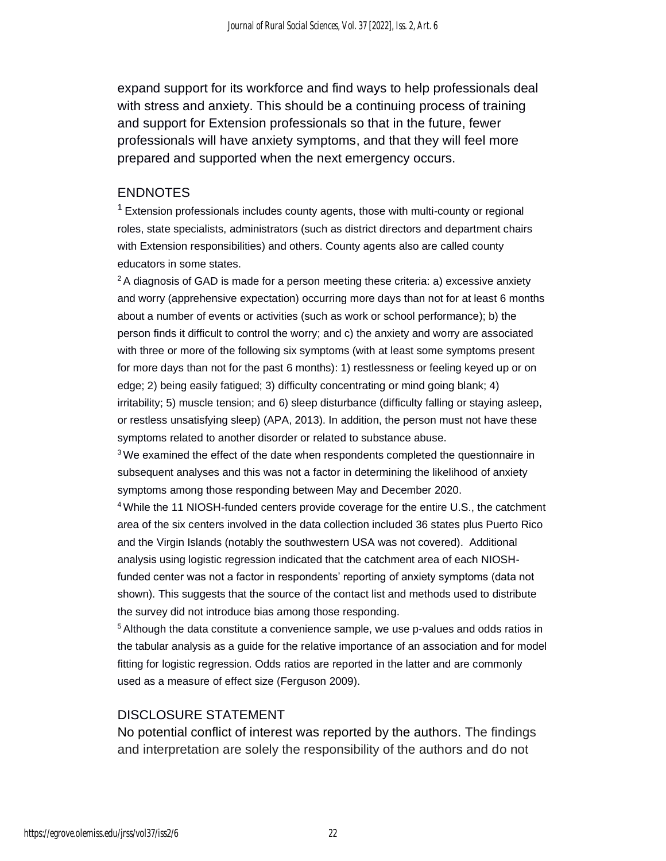expand support for its workforce and find ways to help professionals deal with stress and anxiety. This should be a continuing process of training and support for Extension professionals so that in the future, fewer professionals will have anxiety symptoms, and that they will feel more prepared and supported when the next emergency occurs.

#### ENDNOTES

 $1$  Extension professionals includes county agents, those with multi-county or regional roles, state specialists, administrators (such as district directors and department chairs with Extension responsibilities) and others. County agents also are called county educators in some states.

 $2A$  diagnosis of GAD is made for a person meeting these criteria: a) excessive anxiety and worry (apprehensive expectation) occurring more days than not for at least 6 months about a number of events or activities (such as work or school performance); b) the person finds it difficult to control the worry; and c) the anxiety and worry are associated with three or more of the following six symptoms (with at least some symptoms present for more days than not for the past 6 months): 1) restlessness or feeling keyed up or on edge; 2) being easily fatigued; 3) difficulty concentrating or mind going blank; 4) irritability; 5) muscle tension; and 6) sleep disturbance (difficulty falling or staying asleep, or restless unsatisfying sleep) (APA, 2013). In addition, the person must not have these symptoms related to another disorder or related to substance abuse.

 $3$ We examined the effect of the date when respondents completed the questionnaire in subsequent analyses and this was not a factor in determining the likelihood of anxiety symptoms among those responding between May and December 2020.

<sup>4</sup>While the 11 NIOSH-funded centers provide coverage for the entire U.S., the catchment area of the six centers involved in the data collection included 36 states plus Puerto Rico and the Virgin Islands (notably the southwestern USA was not covered). Additional analysis using logistic regression indicated that the catchment area of each NIOSHfunded center was not a factor in respondents' reporting of anxiety symptoms (data not shown). This suggests that the source of the contact list and methods used to distribute the survey did not introduce bias among those responding.

 $5$  Although the data constitute a convenience sample, we use p-values and odds ratios in the tabular analysis as a guide for the relative importance of an association and for model fitting for logistic regression. Odds ratios are reported in the latter and are commonly used as a measure of effect size (Ferguson 2009).

#### DISCLOSURE STATEMENT

No potential conflict of interest was reported by the authors. The findings and interpretation are solely the responsibility of the authors and do not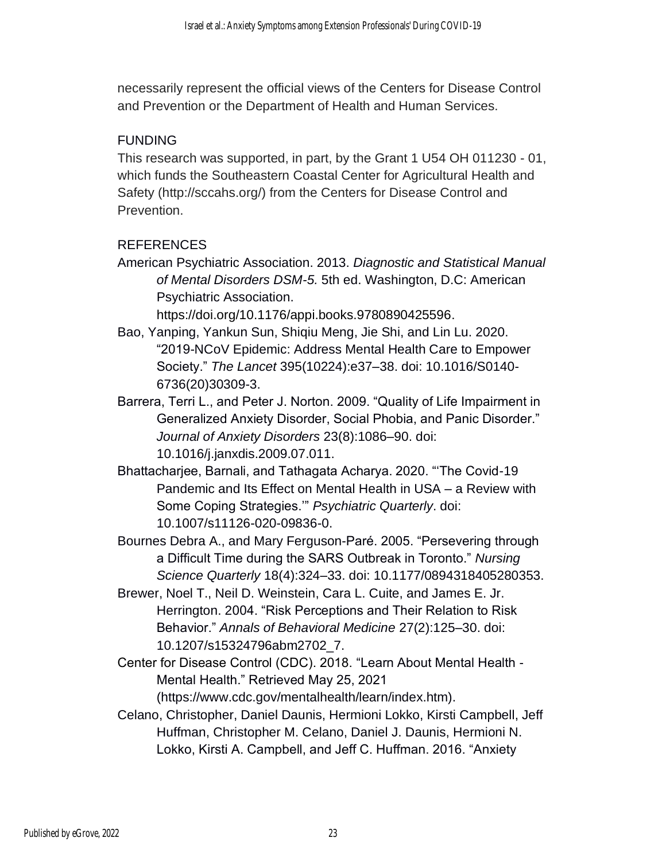necessarily represent the official views of the Centers for Disease Control and Prevention or the Department of Health and Human Services.

#### FUNDING

This research was supported, in part, by the Grant 1 U54 OH 011230 - 01, which funds the Southeastern Coastal Center for Agricultural Health and Safety (http://sccahs.org/) from the Centers for Disease Control and Prevention.

#### REFERENCES

American Psychiatric Association. 2013. *Diagnostic and Statistical Manual of Mental Disorders DSM-5.* 5th ed. Washington, D.C: American Psychiatric Association.

https://doi.org/10.1176/appi.books.9780890425596.

- Bao, Yanping, Yankun Sun, Shiqiu Meng, Jie Shi, and Lin Lu. 2020. "2019-NCoV Epidemic: Address Mental Health Care to Empower Society." *The Lancet* 395(10224):e37–38. doi: 10.1016/S0140- 6736(20)30309-3.
- Barrera, Terri L., and Peter J. Norton. 2009. "Quality of Life Impairment in Generalized Anxiety Disorder, Social Phobia, and Panic Disorder." *Journal of Anxiety Disorders* 23(8):1086–90. doi: 10.1016/j.janxdis.2009.07.011.
- Bhattacharjee, Barnali, and Tathagata Acharya. 2020. "'The Covid-19 Pandemic and Its Effect on Mental Health in USA – a Review with Some Coping Strategies.'" *Psychiatric Quarterly*. doi: 10.1007/s11126-020-09836-0.
- Bournes Debra A., and Mary Ferguson-Paré. 2005. "Persevering through a Difficult Time during the SARS Outbreak in Toronto." *Nursing Science Quarterly* 18(4):324–33. doi: 10.1177/0894318405280353.
- Brewer, Noel T., Neil D. Weinstein, Cara L. Cuite, and James E. Jr. Herrington. 2004. "Risk Perceptions and Their Relation to Risk Behavior." *Annals of Behavioral Medicine* 27(2):125–30. doi: 10.1207/s15324796abm2702\_7.
- Center for Disease Control (CDC). 2018. "Learn About Mental Health Mental Health." Retrieved May 25, 2021
- (https://www.cdc.gov/mentalhealth/learn/index.htm). Celano, Christopher, Daniel Daunis, Hermioni Lokko, Kirsti Campbell, Jeff
	- Huffman, Christopher M. Celano, Daniel J. Daunis, Hermioni N. Lokko, Kirsti A. Campbell, and Jeff C. Huffman. 2016. "Anxiety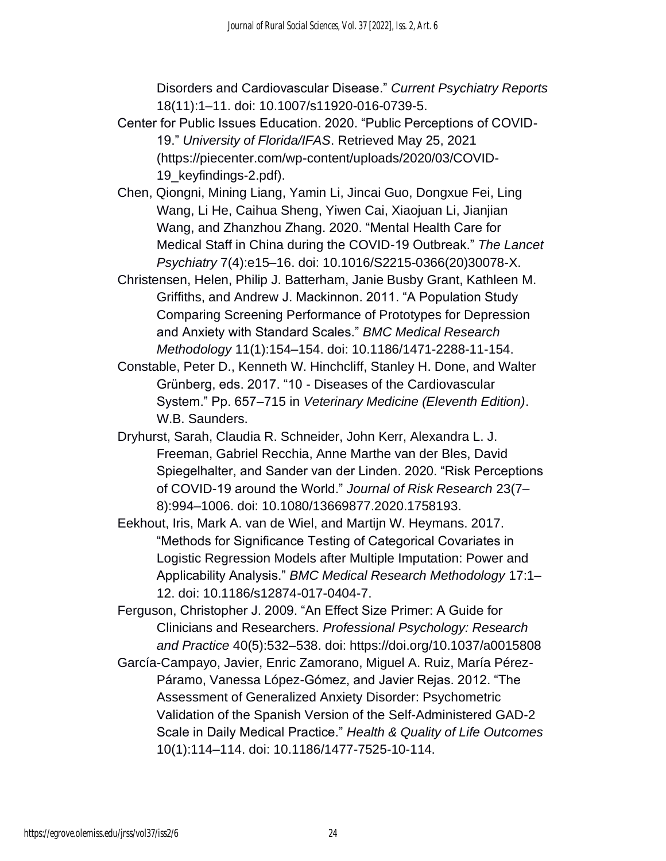Disorders and Cardiovascular Disease." *Current Psychiatry Reports* 18(11):1–11. doi: 10.1007/s11920-016-0739-5.

- Center for Public Issues Education. 2020. "Public Perceptions of COVID-19." *University of Florida/IFAS*. Retrieved May 25, 2021 (https://piecenter.com/wp-content/uploads/2020/03/COVID-19\_keyfindings-2.pdf).
- Chen, Qiongni, Mining Liang, Yamin Li, Jincai Guo, Dongxue Fei, Ling Wang, Li He, Caihua Sheng, Yiwen Cai, Xiaojuan Li, Jianjian Wang, and Zhanzhou Zhang. 2020. "Mental Health Care for Medical Staff in China during the COVID-19 Outbreak." *The Lancet Psychiatry* 7(4):e15–16. doi: 10.1016/S2215-0366(20)30078-X.
- Christensen, Helen, Philip J. Batterham, Janie Busby Grant, Kathleen M. Griffiths, and Andrew J. Mackinnon. 2011. "A Population Study Comparing Screening Performance of Prototypes for Depression and Anxiety with Standard Scales." *BMC Medical Research Methodology* 11(1):154–154. doi: 10.1186/1471-2288-11-154.
- Constable, Peter D., Kenneth W. Hinchcliff, Stanley H. Done, and Walter Grünberg, eds. 2017. "10 - Diseases of the Cardiovascular System." Pp. 657–715 in *Veterinary Medicine (Eleventh Edition)*. W.B. Saunders.
- Dryhurst, Sarah, Claudia R. Schneider, John Kerr, Alexandra L. J. Freeman, Gabriel Recchia, Anne Marthe van der Bles, David Spiegelhalter, and Sander van der Linden. 2020. "Risk Perceptions of COVID-19 around the World." *Journal of Risk Research* 23(7– 8):994–1006. doi: 10.1080/13669877.2020.1758193.
- Eekhout, Iris, Mark A. van de Wiel, and Martijn W. Heymans. 2017. "Methods for Significance Testing of Categorical Covariates in Logistic Regression Models after Multiple Imputation: Power and Applicability Analysis." *BMC Medical Research Methodology* 17:1– 12. doi: 10.1186/s12874-017-0404-7.
- Ferguson, Christopher J. 2009. "An Effect Size Primer: A Guide for Clinicians and Researchers. *Professional Psychology: Research and Practice* 40(5):532–538. doi: https://doi.org/10.1037/a0015808
- García-Campayo, Javier, Enric Zamorano, Miguel A. Ruiz, María Pérez-Páramo, Vanessa López-Gómez, and Javier Rejas. 2012. "The Assessment of Generalized Anxiety Disorder: Psychometric Validation of the Spanish Version of the Self-Administered GAD-2 Scale in Daily Medical Practice." *Health & Quality of Life Outcomes* 10(1):114–114. doi: 10.1186/1477-7525-10-114.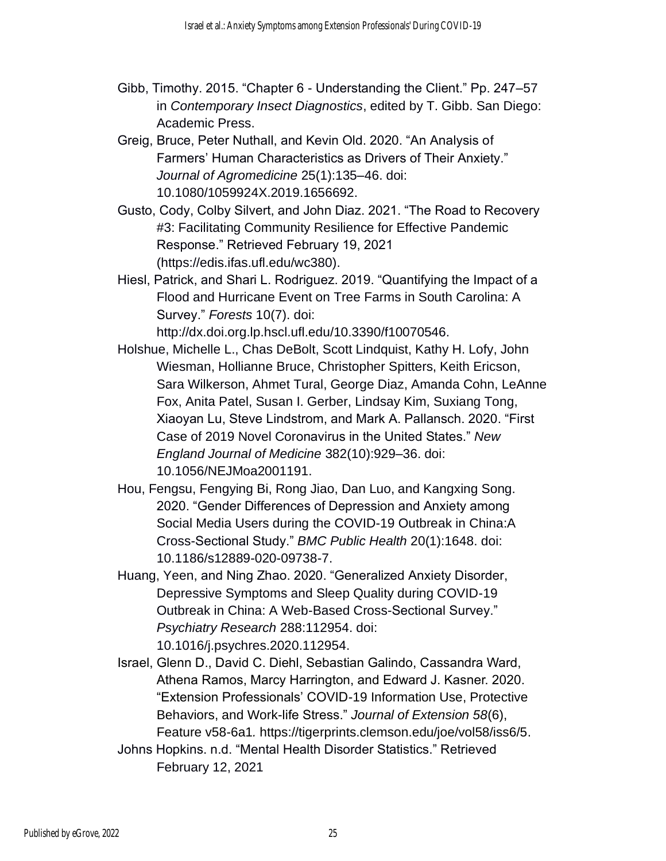- Gibb, Timothy. 2015. "Chapter 6 Understanding the Client." Pp. 247–57 in *Contemporary Insect Diagnostics*, edited by T. Gibb. San Diego: Academic Press.
- Greig, Bruce, Peter Nuthall, and Kevin Old. 2020. "An Analysis of Farmers' Human Characteristics as Drivers of Their Anxiety." *Journal of Agromedicine* 25(1):135–46. doi: 10.1080/1059924X.2019.1656692.
- Gusto, Cody, Colby Silvert, and John Diaz. 2021. "The Road to Recovery #3: Facilitating Community Resilience for Effective Pandemic Response." Retrieved February 19, 2021 (https://edis.ifas.ufl.edu/wc380).
- Hiesl, Patrick, and Shari L. Rodriguez. 2019. "Quantifying the Impact of a Flood and Hurricane Event on Tree Farms in South Carolina: A Survey." *Forests* 10(7). doi:

http://dx.doi.org.lp.hscl.ufl.edu/10.3390/f10070546.

- Holshue, Michelle L., Chas DeBolt, Scott Lindquist, Kathy H. Lofy, John Wiesman, Hollianne Bruce, Christopher Spitters, Keith Ericson, Sara Wilkerson, Ahmet Tural, George Diaz, Amanda Cohn, LeAnne Fox, Anita Patel, Susan I. Gerber, Lindsay Kim, Suxiang Tong, Xiaoyan Lu, Steve Lindstrom, and Mark A. Pallansch. 2020. "First Case of 2019 Novel Coronavirus in the United States." *New England Journal of Medicine* 382(10):929–36. doi: 10.1056/NEJMoa2001191.
- Hou, Fengsu, Fengying Bi, Rong Jiao, Dan Luo, and Kangxing Song. 2020. "Gender Differences of Depression and Anxiety among Social Media Users during the COVID-19 Outbreak in China:A Cross-Sectional Study." *BMC Public Health* 20(1):1648. doi: 10.1186/s12889-020-09738-7.
- Huang, Yeen, and Ning Zhao. 2020. "Generalized Anxiety Disorder, Depressive Symptoms and Sleep Quality during COVID-19 Outbreak in China: A Web-Based Cross-Sectional Survey." *Psychiatry Research* 288:112954. doi: 10.1016/j.psychres.2020.112954.
- Israel, Glenn D., David C. Diehl, Sebastian Galindo, Cassandra Ward, Athena Ramos, Marcy Harrington, and Edward J. Kasner. 2020. "Extension Professionals' COVID-19 Information Use, Protective Behaviors, and Work-life Stress." *Journal of Extension 58*(6), Feature v58-6a1*.* https://tigerprints.clemson.edu/joe/vol58/iss6/5.
- Johns Hopkins. n.d. "Mental Health Disorder Statistics." Retrieved February 12, 2021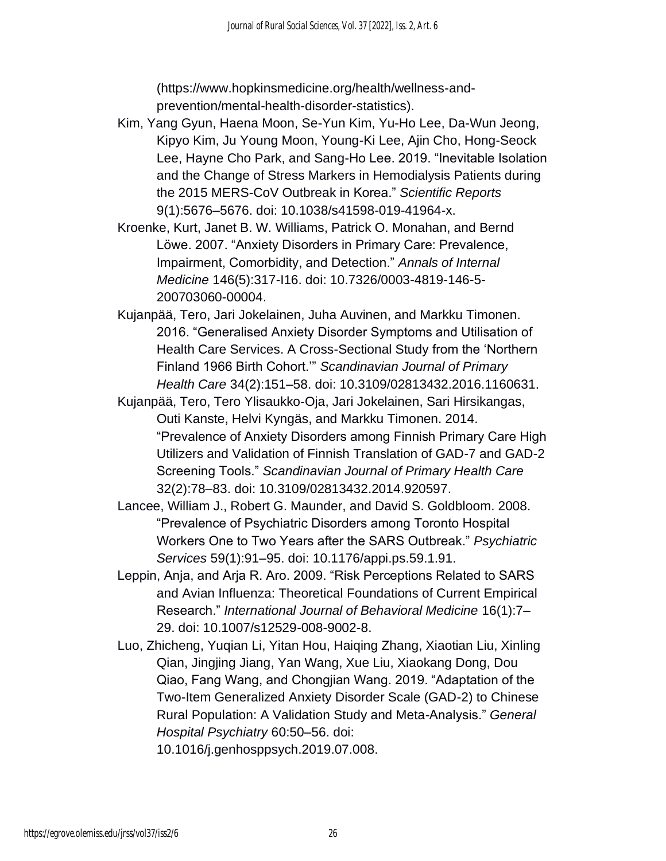(https://www.hopkinsmedicine.org/health/wellness-andprevention/mental-health-disorder-statistics).

- Kim, Yang Gyun, Haena Moon, Se-Yun Kim, Yu-Ho Lee, Da-Wun Jeong, Kipyo Kim, Ju Young Moon, Young-Ki Lee, Ajin Cho, Hong-Seock Lee, Hayne Cho Park, and Sang-Ho Lee. 2019. "Inevitable Isolation and the Change of Stress Markers in Hemodialysis Patients during the 2015 MERS-CoV Outbreak in Korea." *Scientific Reports* 9(1):5676–5676. doi: 10.1038/s41598-019-41964-x.
- Kroenke, Kurt, Janet B. W. Williams, Patrick O. Monahan, and Bernd Löwe. 2007. "Anxiety Disorders in Primary Care: Prevalence, Impairment, Comorbidity, and Detection." *Annals of Internal Medicine* 146(5):317-I16. doi: 10.7326/0003-4819-146-5- 200703060-00004.
- Kujanpää, Tero, Jari Jokelainen, Juha Auvinen, and Markku Timonen. 2016. "Generalised Anxiety Disorder Symptoms and Utilisation of Health Care Services. A Cross-Sectional Study from the 'Northern Finland 1966 Birth Cohort.'" *Scandinavian Journal of Primary Health Care* 34(2):151–58. doi: 10.3109/02813432.2016.1160631.
- Kujanpää, Tero, Tero Ylisaukko-Oja, Jari Jokelainen, Sari Hirsikangas, Outi Kanste, Helvi Kyngäs, and Markku Timonen. 2014. "Prevalence of Anxiety Disorders among Finnish Primary Care High Utilizers and Validation of Finnish Translation of GAD-7 and GAD-2 Screening Tools." *Scandinavian Journal of Primary Health Care* 32(2):78–83. doi: 10.3109/02813432.2014.920597.
- Lancee, William J., Robert G. Maunder, and David S. Goldbloom. 2008. "Prevalence of Psychiatric Disorders among Toronto Hospital Workers One to Two Years after the SARS Outbreak." *Psychiatric Services* 59(1):91–95. doi: 10.1176/appi.ps.59.1.91.
- Leppin, Anja, and Arja R. Aro. 2009. "Risk Perceptions Related to SARS and Avian Influenza: Theoretical Foundations of Current Empirical Research." *International Journal of Behavioral Medicine* 16(1):7– 29. doi: 10.1007/s12529-008-9002-8.
- Luo, Zhicheng, Yuqian Li, Yitan Hou, Haiqing Zhang, Xiaotian Liu, Xinling Qian, Jingjing Jiang, Yan Wang, Xue Liu, Xiaokang Dong, Dou Qiao, Fang Wang, and Chongjian Wang. 2019. "Adaptation of the Two-Item Generalized Anxiety Disorder Scale (GAD-2) to Chinese Rural Population: A Validation Study and Meta-Analysis." *General Hospital Psychiatry* 60:50–56. doi:
	- 10.1016/j.genhosppsych.2019.07.008.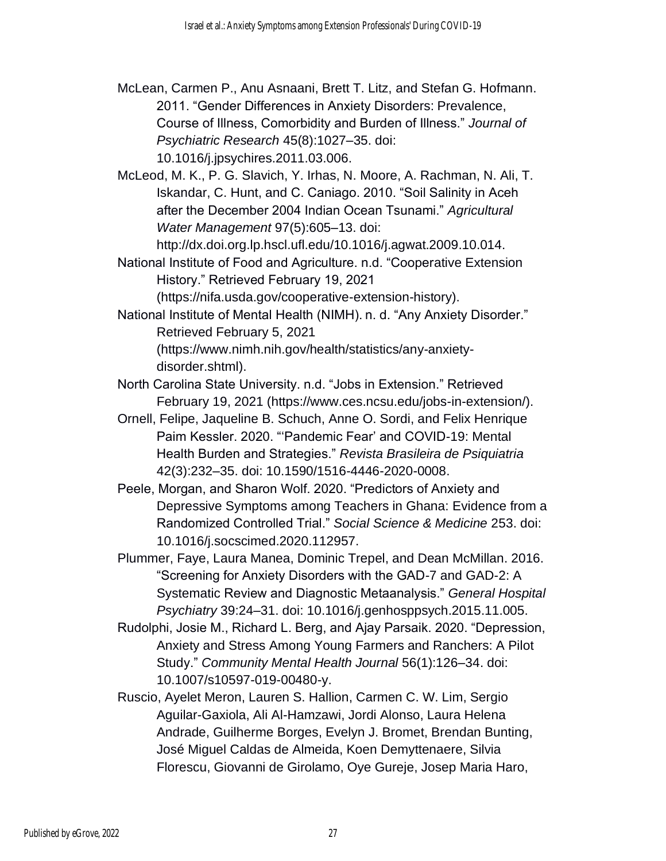McLean, Carmen P., Anu Asnaani, Brett T. Litz, and Stefan G. Hofmann. 2011. "Gender Differences in Anxiety Disorders: Prevalence, Course of Illness, Comorbidity and Burden of Illness." *Journal of Psychiatric Research* 45(8):1027–35. doi: 10.1016/j.jpsychires.2011.03.006.

McLeod, M. K., P. G. Slavich, Y. Irhas, N. Moore, A. Rachman, N. Ali, T. Iskandar, C. Hunt, and C. Caniago. 2010. "Soil Salinity in Aceh after the December 2004 Indian Ocean Tsunami." *Agricultural Water Management* 97(5):605–13. doi:

http://dx.doi.org.lp.hscl.ufl.edu/10.1016/j.agwat.2009.10.014.

National Institute of Food and Agriculture. n.d. "Cooperative Extension History." Retrieved February 19, 2021

(https://nifa.usda.gov/cooperative-extension-history).

National Institute of Mental Health (NIMH). n. d. "Any Anxiety Disorder." Retrieved February 5, 2021 (https://www.nimh.nih.gov/health/statistics/any-anxiety-

disorder.shtml).

North Carolina State University. n.d. "Jobs in Extension." Retrieved February 19, 2021 (https://www.ces.ncsu.edu/jobs-in-extension/).

- Ornell, Felipe, Jaqueline B. Schuch, Anne O. Sordi, and Felix Henrique Paim Kessler. 2020. "'Pandemic Fear' and COVID-19: Mental Health Burden and Strategies." *Revista Brasileira de Psiquiatria* 42(3):232–35. doi: 10.1590/1516-4446-2020-0008.
- Peele, Morgan, and Sharon Wolf. 2020. "Predictors of Anxiety and Depressive Symptoms among Teachers in Ghana: Evidence from a Randomized Controlled Trial." *Social Science & Medicine* 253. doi: 10.1016/j.socscimed.2020.112957.
- Plummer, Faye, Laura Manea, Dominic Trepel, and Dean McMillan. 2016. "Screening for Anxiety Disorders with the GAD-7 and GAD-2: A Systematic Review and Diagnostic Metaanalysis." *General Hospital Psychiatry* 39:24–31. doi: 10.1016/j.genhosppsych.2015.11.005.
- Rudolphi, Josie M., Richard L. Berg, and Ajay Parsaik. 2020. "Depression, Anxiety and Stress Among Young Farmers and Ranchers: A Pilot Study." *Community Mental Health Journal* 56(1):126–34. doi: 10.1007/s10597-019-00480-y.
- Ruscio, Ayelet Meron, Lauren S. Hallion, Carmen C. W. Lim, Sergio Aguilar-Gaxiola, Ali Al-Hamzawi, Jordi Alonso, Laura Helena Andrade, Guilherme Borges, Evelyn J. Bromet, Brendan Bunting, José Miguel Caldas de Almeida, Koen Demyttenaere, Silvia Florescu, Giovanni de Girolamo, Oye Gureje, Josep Maria Haro,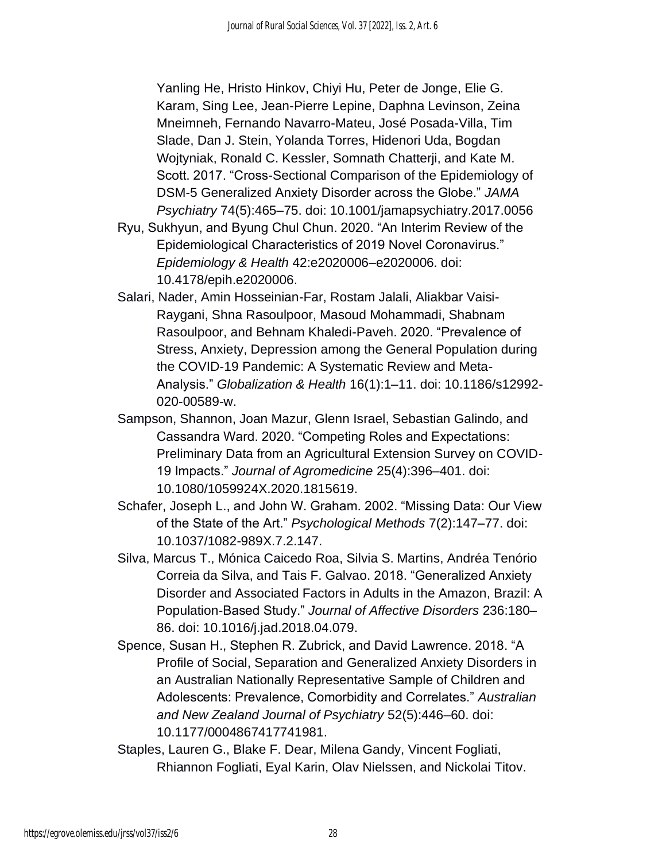Yanling He, Hristo Hinkov, Chiyi Hu, Peter de Jonge, Elie G. Karam, Sing Lee, Jean-Pierre Lepine, Daphna Levinson, Zeina Mneimneh, Fernando Navarro-Mateu, José Posada-Villa, Tim Slade, Dan J. Stein, Yolanda Torres, Hidenori Uda, Bogdan Wojtyniak, Ronald C. Kessler, Somnath Chatterji, and Kate M. Scott. 2017. "Cross-Sectional Comparison of the Epidemiology of DSM-5 Generalized Anxiety Disorder across the Globe." *JAMA Psychiatry* 74(5):465–75. doi: 10.1001/jamapsychiatry.2017.0056

- Ryu, Sukhyun, and Byung Chul Chun. 2020. "An Interim Review of the Epidemiological Characteristics of 2019 Novel Coronavirus." *Epidemiology & Health* 42:e2020006–e2020006. doi: 10.4178/epih.e2020006.
- Salari, Nader, Amin Hosseinian-Far, Rostam Jalali, Aliakbar Vaisi-Raygani, Shna Rasoulpoor, Masoud Mohammadi, Shabnam Rasoulpoor, and Behnam Khaledi-Paveh. 2020. "Prevalence of Stress, Anxiety, Depression among the General Population during the COVID-19 Pandemic: A Systematic Review and Meta-Analysis." *Globalization & Health* 16(1):1–11. doi: 10.1186/s12992- 020-00589-w.
- Sampson, Shannon, Joan Mazur, Glenn Israel, Sebastian Galindo, and Cassandra Ward. 2020. "Competing Roles and Expectations: Preliminary Data from an Agricultural Extension Survey on COVID-19 Impacts." *Journal of Agromedicine* 25(4):396–401. doi: 10.1080/1059924X.2020.1815619.
- Schafer, Joseph L., and John W. Graham. 2002. "Missing Data: Our View of the State of the Art." *Psychological Methods* 7(2):147–77. doi: 10.1037/1082-989X.7.2.147.
- Silva, Marcus T., Mónica Caicedo Roa, Silvia S. Martins, Andréa Tenório Correia da Silva, and Tais F. Galvao. 2018. "Generalized Anxiety Disorder and Associated Factors in Adults in the Amazon, Brazil: A Population-Based Study." *Journal of Affective Disorders* 236:180– 86. doi: 10.1016/j.jad.2018.04.079.
- Spence, Susan H., Stephen R. Zubrick, and David Lawrence. 2018. "A Profile of Social, Separation and Generalized Anxiety Disorders in an Australian Nationally Representative Sample of Children and Adolescents: Prevalence, Comorbidity and Correlates." *Australian and New Zealand Journal of Psychiatry* 52(5):446–60. doi: 10.1177/0004867417741981.
- Staples, Lauren G., Blake F. Dear, Milena Gandy, Vincent Fogliati, Rhiannon Fogliati, Eyal Karin, Olav Nielssen, and Nickolai Titov.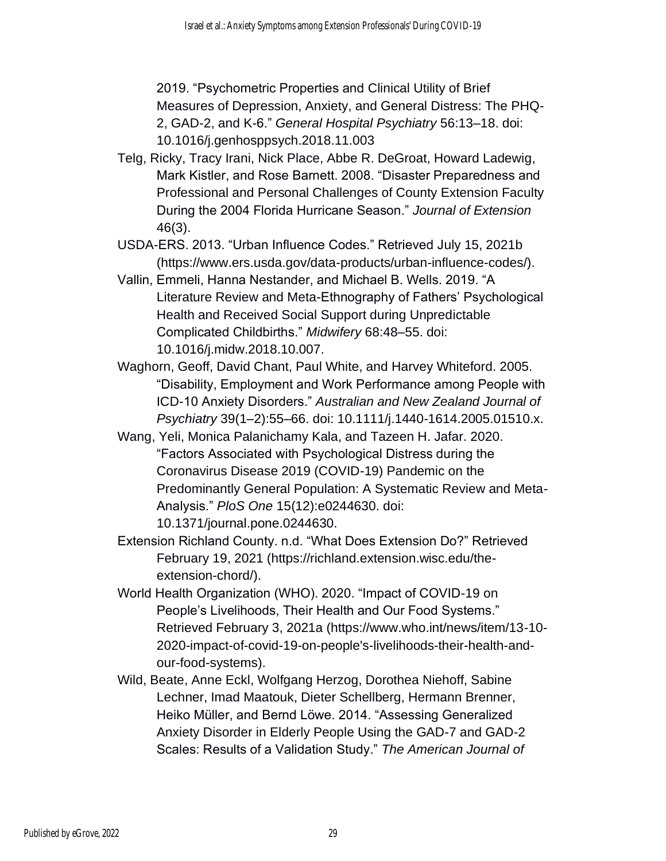2019. "Psychometric Properties and Clinical Utility of Brief Measures of Depression, Anxiety, and General Distress: The PHQ-2, GAD-2, and K-6." *General Hospital Psychiatry* 56:13–18. doi: 10.1016/j.genhosppsych.2018.11.003

- Telg, Ricky, Tracy Irani, Nick Place, Abbe R. DeGroat, Howard Ladewig, Mark Kistler, and Rose Barnett. 2008. "Disaster Preparedness and Professional and Personal Challenges of County Extension Faculty During the 2004 Florida Hurricane Season." *Journal of Extension* 46(3).
- USDA-ERS. 2013. "Urban Influence Codes." Retrieved July 15, 2021b (https://www.ers.usda.gov/data-products/urban-influence-codes/).
- Vallin, Emmeli, Hanna Nestander, and Michael B. Wells. 2019. "A Literature Review and Meta-Ethnography of Fathers' Psychological Health and Received Social Support during Unpredictable Complicated Childbirths." *Midwifery* 68:48–55. doi: 10.1016/j.midw.2018.10.007.
- Waghorn, Geoff, David Chant, Paul White, and Harvey Whiteford. 2005. "Disability, Employment and Work Performance among People with ICD-10 Anxiety Disorders." *Australian and New Zealand Journal of Psychiatry* 39(1–2):55–66. doi: 10.1111/j.1440-1614.2005.01510.x.
- Wang, Yeli, Monica Palanichamy Kala, and Tazeen H. Jafar. 2020. "Factors Associated with Psychological Distress during the Coronavirus Disease 2019 (COVID-19) Pandemic on the Predominantly General Population: A Systematic Review and Meta-Analysis." *PloS One* 15(12):e0244630. doi: 10.1371/journal.pone.0244630.
- Extension Richland County. n.d. "What Does Extension Do?" Retrieved February 19, 2021 (https://richland.extension.wisc.edu/theextension-chord/).
- World Health Organization (WHO). 2020. "Impact of COVID-19 on People's Livelihoods, Their Health and Our Food Systems." Retrieved February 3, 2021a (https://www.who.int/news/item/13-10- 2020-impact-of-covid-19-on-people's-livelihoods-their-health-andour-food-systems).
- Wild, Beate, Anne Eckl, Wolfgang Herzog, Dorothea Niehoff, Sabine Lechner, Imad Maatouk, Dieter Schellberg, Hermann Brenner, Heiko Müller, and Bernd Löwe. 2014. "Assessing Generalized Anxiety Disorder in Elderly People Using the GAD-7 and GAD-2 Scales: Results of a Validation Study." *The American Journal of*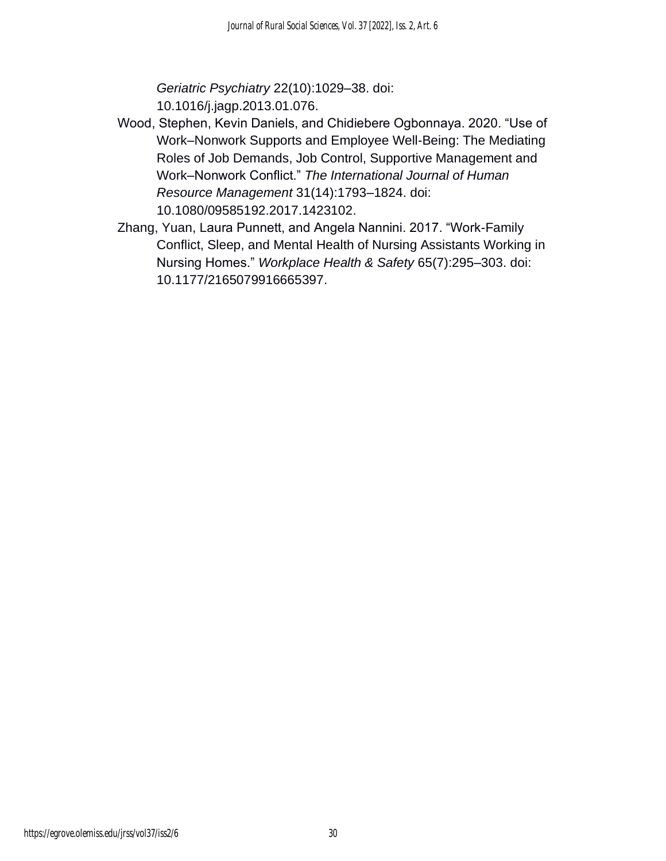*Geriatric Psychiatry* 22(10):1029–38. doi: 10.1016/j.jagp.2013.01.076.

- Wood, Stephen, Kevin Daniels, and Chidiebere Ogbonnaya. 2020. "Use of Work–Nonwork Supports and Employee Well-Being: The Mediating Roles of Job Demands, Job Control, Supportive Management and Work–Nonwork Conflict." *The International Journal of Human Resource Management* 31(14):1793–1824. doi: 10.1080/09585192.2017.1423102.
- Zhang, Yuan, Laura Punnett, and Angela Nannini. 2017. "Work-Family Conflict, Sleep, and Mental Health of Nursing Assistants Working in Nursing Homes." *Workplace Health & Safety* 65(7):295–303. doi: 10.1177/2165079916665397.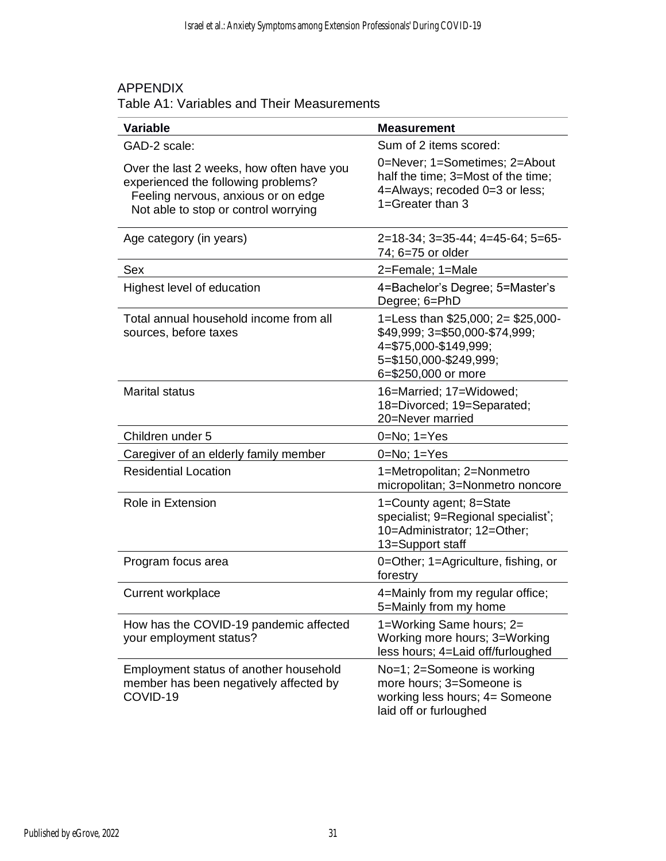#### APPENDIX

#### Table A1: Variables and Their Measurements

| <b>Variable</b>                                                                                                                                                 | <b>Measurement</b>                                                                                                                             |
|-----------------------------------------------------------------------------------------------------------------------------------------------------------------|------------------------------------------------------------------------------------------------------------------------------------------------|
| GAD-2 scale:                                                                                                                                                    | Sum of 2 items scored:                                                                                                                         |
| Over the last 2 weeks, how often have you<br>experienced the following problems?<br>Feeling nervous, anxious or on edge<br>Not able to stop or control worrying | 0=Never; 1=Sometimes; 2=About<br>half the time; 3=Most of the time;<br>4=Always; recoded 0=3 or less;<br>1=Greater than 3                      |
| Age category (in years)                                                                                                                                         | $2=18-34$ ; $3=35-44$ ; $4=45-64$ ; $5=65-$<br>74; 6=75 or older                                                                               |
| <b>Sex</b>                                                                                                                                                      | 2=Female; 1=Male                                                                                                                               |
| Highest level of education                                                                                                                                      | 4=Bachelor's Degree; 5=Master's<br>Degree; 6=PhD                                                                                               |
| Total annual household income from all<br>sources, before taxes                                                                                                 | 1=Less than \$25,000; 2= \$25,000-<br>\$49,999; 3=\$50,000-\$74,999;<br>4=\$75,000-\$149,999;<br>5=\$150,000-\$249,999;<br>6=\$250,000 or more |
| <b>Marital status</b>                                                                                                                                           | 16=Married; 17=Widowed;<br>18=Divorced; 19=Separated;<br>20=Never married                                                                      |
| Children under 5                                                                                                                                                | $0 = No$ ; $1 = Yes$                                                                                                                           |
| Caregiver of an elderly family member                                                                                                                           | $0=No; 1=Yes$                                                                                                                                  |
| <b>Residential Location</b>                                                                                                                                     | 1=Metropolitan; 2=Nonmetro<br>micropolitan; 3=Nonmetro noncore                                                                                 |
| Role in Extension                                                                                                                                               | 1=County agent; 8=State<br>specialist; 9=Regional specialist;<br>10=Administrator; 12=Other;<br>13=Support staff                               |
| Program focus area                                                                                                                                              | 0=Other; 1=Agriculture, fishing, or<br>forestry                                                                                                |
| Current workplace                                                                                                                                               | 4=Mainly from my regular office;<br>5=Mainly from my home                                                                                      |
| How has the COVID-19 pandemic affected<br>your employment status?                                                                                               | 1=Working Same hours; 2=<br>Working more hours; 3=Working<br>less hours; 4=Laid off/furloughed                                                 |
| Employment status of another household<br>member has been negatively affected by<br>COVID-19                                                                    | No=1; 2=Someone is working<br>more hours; 3=Someone is<br>working less hours; 4= Someone<br>laid off or furloughed                             |